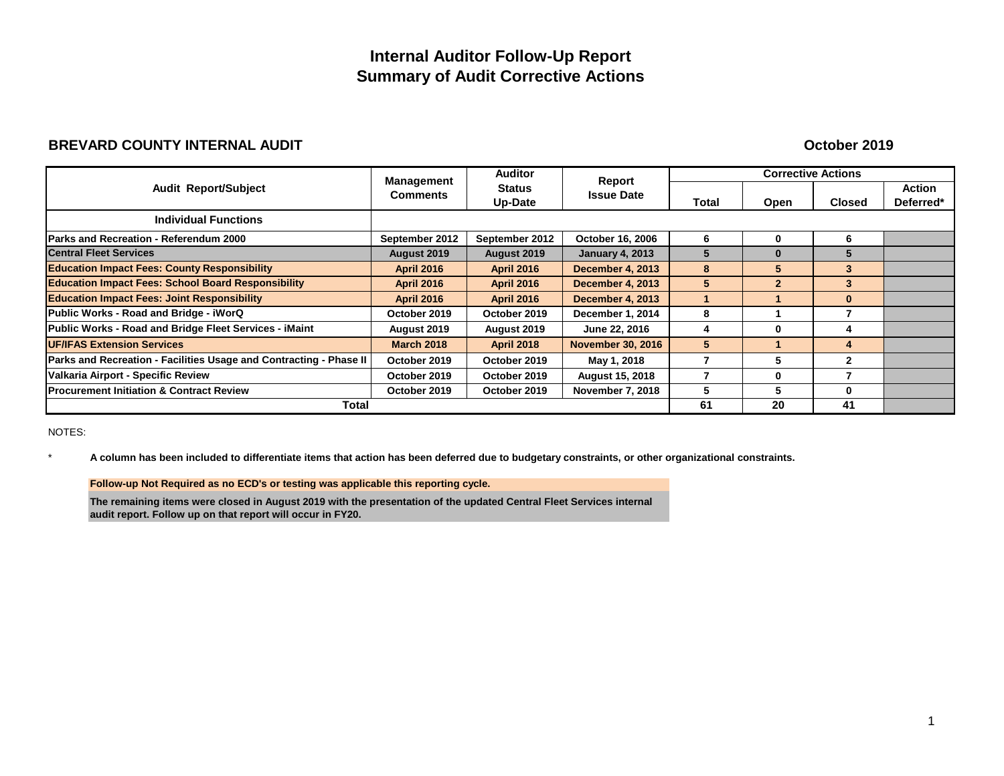## **Internal Auditor Follow-Up Report Summary of Audit Corrective Actions**

### **BREVARD COUNTY INTERNAL AUDIT**

**October 2019**

|                                                                           | <b>Management</b> | <b>Auditor</b>                  | Report                   |       |                | <b>Corrective Actions</b> |                            |
|---------------------------------------------------------------------------|-------------------|---------------------------------|--------------------------|-------|----------------|---------------------------|----------------------------|
| <b>Audit Report/Subject</b>                                               | <b>Comments</b>   | <b>Status</b><br><b>Up-Date</b> | <b>Issue Date</b>        | Total | Open           | <b>Closed</b>             | <b>Action</b><br>Deferred* |
| <b>Individual Functions</b>                                               |                   |                                 |                          |       |                |                           |                            |
| <b>Parks and Recreation - Referendum 2000</b>                             | September 2012    | September 2012                  | <b>October 16, 2006</b>  | 6     | 0              | 6                         |                            |
| <b>Central Fleet Services</b>                                             | August 2019       | August 2019                     | <b>January 4, 2013</b>   | 5     | 0              | 5                         |                            |
| <b>Education Impact Fees: County Responsibility</b>                       | <b>April 2016</b> | <b>April 2016</b>               | <b>December 4, 2013</b>  | 8     | 5              | 3                         |                            |
| <b>Education Impact Fees: School Board Responsibility</b>                 | <b>April 2016</b> | <b>April 2016</b>               | <b>December 4, 2013</b>  | 5     | $\overline{2}$ | 3                         |                            |
| <b>Education Impact Fees: Joint Responsibility</b>                        | <b>April 2016</b> | <b>April 2016</b>               | <b>December 4, 2013</b>  |       |                | $\bf{0}$                  |                            |
| Public Works - Road and Bridge - iWorQ                                    | October 2019      | October 2019                    | December 1, 2014         | 8     |                | 7                         |                            |
| Public Works - Road and Bridge Fleet Services - iMaint                    | August 2019       | August 2019                     | June 22, 2016            | 4     | 0              | 4                         |                            |
| <b>UF/IFAS Extension Services</b>                                         | <b>March 2018</b> | <b>April 2018</b>               | <b>November 30, 2016</b> | 5     |                | 4                         |                            |
| <b>Parks and Recreation - Facilities Usage and Contracting - Phase II</b> | October 2019      | October 2019                    | May 1, 2018              |       | 5              | $\mathbf{2}$              |                            |
| Valkaria Airport - Specific Review                                        | October 2019      | October 2019                    | <b>August 15, 2018</b>   |       | 0              | 7                         |                            |
| <b>Procurement Initiation &amp; Contract Review</b>                       | October 2019      | October 2019                    | <b>November 7, 2018</b>  | 5     | 5              | 0                         |                            |
| <b>Total</b>                                                              |                   |                                 |                          | 61    | 20             | 41                        |                            |

NOTES:

\* **A column has been included to differentiate items that action has been deferred due to budgetary constraints, or other organizational constraints.**

**Follow-up Not Required as no ECD's or testing was applicable this reporting cycle.**

**The remaining items were closed in August 2019 with the presentation of the updated Central Fleet Services internal audit report. Follow up on that report will occur in FY20.**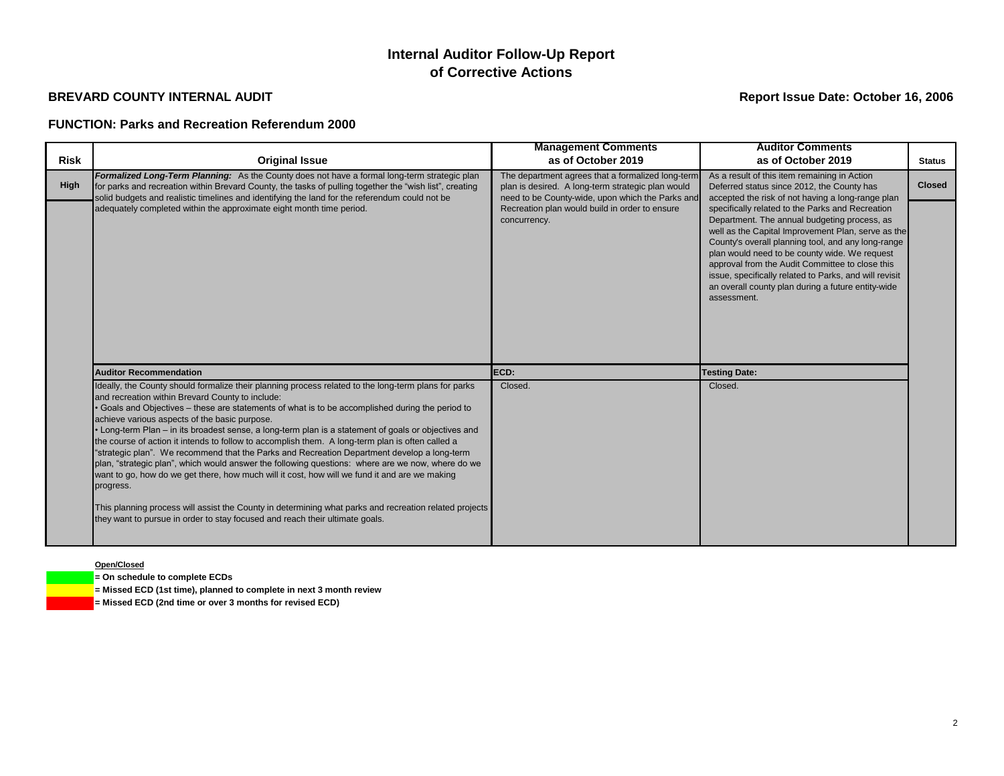### **FUNCTION: Parks and Recreation Referendum 2000**

### **Open/Closed**

**= On schedule to complete ECDs**

**= Missed ECD (1st time), planned to complete in next 3 month review**

**= Missed ECD (2nd time or over 3 months for revised ECD)**

|             |                                                                                                                                                                                                                                                                                                                                                                                                                                                                                                                                                                                                                                                                                                                                                                                                                                                                                                                                                                                                                                     | <b>Management Comments</b>                                                                                                                                 | <b>Auditor Comments</b>                                                                                                                                                                                                                                                                                                                                                                                                                         |               |
|-------------|-------------------------------------------------------------------------------------------------------------------------------------------------------------------------------------------------------------------------------------------------------------------------------------------------------------------------------------------------------------------------------------------------------------------------------------------------------------------------------------------------------------------------------------------------------------------------------------------------------------------------------------------------------------------------------------------------------------------------------------------------------------------------------------------------------------------------------------------------------------------------------------------------------------------------------------------------------------------------------------------------------------------------------------|------------------------------------------------------------------------------------------------------------------------------------------------------------|-------------------------------------------------------------------------------------------------------------------------------------------------------------------------------------------------------------------------------------------------------------------------------------------------------------------------------------------------------------------------------------------------------------------------------------------------|---------------|
| <b>Risk</b> | <b>Original Issue</b>                                                                                                                                                                                                                                                                                                                                                                                                                                                                                                                                                                                                                                                                                                                                                                                                                                                                                                                                                                                                               | as of October 2019                                                                                                                                         | as of October 2019                                                                                                                                                                                                                                                                                                                                                                                                                              | <b>Status</b> |
| <b>High</b> | Formalized Long-Term Planning: As the County does not have a formal long-term strategic plan<br>for parks and recreation within Brevard County, the tasks of pulling together the "wish list", creating<br>solid budgets and realistic timelines and identifying the land for the referendum could not be                                                                                                                                                                                                                                                                                                                                                                                                                                                                                                                                                                                                                                                                                                                           | The department agrees that a formalized long-term<br>plan is desired. A long-term strategic plan would<br>need to be County-wide, upon which the Parks and | As a result of this item remaining in Action<br>Deferred status since 2012, the County has<br>accepted the risk of not having a long-range plan                                                                                                                                                                                                                                                                                                 | <b>Closed</b> |
|             | adequately completed within the approximate eight month time period.                                                                                                                                                                                                                                                                                                                                                                                                                                                                                                                                                                                                                                                                                                                                                                                                                                                                                                                                                                | Recreation plan would build in order to ensure<br>concurrency.                                                                                             | specifically related to the Parks and Recreation<br>Department. The annual budgeting process, as<br>well as the Capital Improvement Plan, serve as the<br>County's overall planning tool, and any long-range<br>plan would need to be county wide. We request<br>approval from the Audit Committee to close this<br>issue, specifically related to Parks, and will revisit<br>an overall county plan during a future entity-wide<br>assessment. |               |
|             | <b>Auditor Recommendation</b>                                                                                                                                                                                                                                                                                                                                                                                                                                                                                                                                                                                                                                                                                                                                                                                                                                                                                                                                                                                                       | ECD:                                                                                                                                                       | <b>Testing Date:</b>                                                                                                                                                                                                                                                                                                                                                                                                                            |               |
|             | Ideally, the County should formalize their planning process related to the long-term plans for parks<br>and recreation within Brevard County to include:<br>Goals and Objectives - these are statements of what is to be accomplished during the period to<br>achieve various aspects of the basic purpose.<br>• Long-term Plan – in its broadest sense, a long-term plan is a statement of goals or objectives and<br>the course of action it intends to follow to accomplish them. A long-term plan is often called a<br>"strategic plan". We recommend that the Parks and Recreation Department develop a long-term<br>plan, "strategic plan", which would answer the following questions: where are we now, where do we<br>want to go, how do we get there, how much will it cost, how will we fund it and are we making<br>progress.<br>This planning process will assist the County in determining what parks and recreation related projects<br>they want to pursue in order to stay focused and reach their ultimate goals. | Closed.                                                                                                                                                    | Closed.                                                                                                                                                                                                                                                                                                                                                                                                                                         |               |

# **Internal Auditor Follow-Up Report of Corrective Actions**

## **BREVARD COUNTY INTERNAL AUDIT Report Issue Date: October 16, 2006**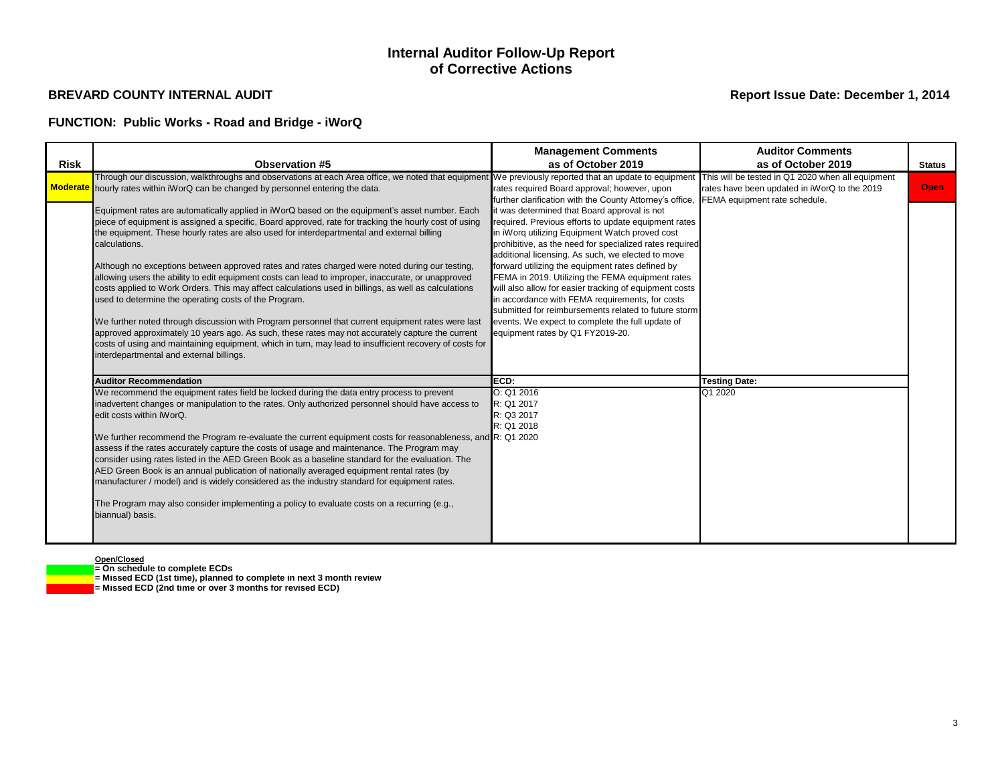## **FUNCTION: Public Works - Road and Bridge - iWorQ**

**Open/Closed**

**= On schedule to complete ECDs**

**= Missed ECD (1st time), planned to complete in next 3 month review**

**= Missed ECD (2nd time or over 3 months for revised ECD)**

|                 |                                                                                                                                                                                                                                                                                                                                                                                                                                                                                                                                                                                                                                                                                                                                                                                                                                                                                                                                                                                                                                                                 | <b>Management Comments</b>                                                                                                                                                                                                                                                                                                                                                                                                                                                                                                                                                                                                                  | <b>Auditor Comments</b>                                                                                                            |               |
|-----------------|-----------------------------------------------------------------------------------------------------------------------------------------------------------------------------------------------------------------------------------------------------------------------------------------------------------------------------------------------------------------------------------------------------------------------------------------------------------------------------------------------------------------------------------------------------------------------------------------------------------------------------------------------------------------------------------------------------------------------------------------------------------------------------------------------------------------------------------------------------------------------------------------------------------------------------------------------------------------------------------------------------------------------------------------------------------------|---------------------------------------------------------------------------------------------------------------------------------------------------------------------------------------------------------------------------------------------------------------------------------------------------------------------------------------------------------------------------------------------------------------------------------------------------------------------------------------------------------------------------------------------------------------------------------------------------------------------------------------------|------------------------------------------------------------------------------------------------------------------------------------|---------------|
| <b>Risk</b>     | <b>Observation #5</b>                                                                                                                                                                                                                                                                                                                                                                                                                                                                                                                                                                                                                                                                                                                                                                                                                                                                                                                                                                                                                                           | as of October 2019                                                                                                                                                                                                                                                                                                                                                                                                                                                                                                                                                                                                                          | as of October 2019                                                                                                                 | <b>Status</b> |
| <b>Moderate</b> | Through our discussion, walkthroughs and observations at each Area office, we noted that equipmen<br>hourly rates within iWorQ can be changed by personnel entering the data.                                                                                                                                                                                                                                                                                                                                                                                                                                                                                                                                                                                                                                                                                                                                                                                                                                                                                   | We previously reported that an update to equipment<br>rates required Board approval; however, upon<br>further clarification with the County Attorney's office,                                                                                                                                                                                                                                                                                                                                                                                                                                                                              | This will be tested in Q1 2020 when all equipment<br>rates have been updated in iWorQ to the 2019<br>FEMA equipment rate schedule. | <b>Open</b>   |
|                 | Equipment rates are automatically applied in iWorQ based on the equipment's asset number. Each<br>piece of equipment is assigned a specific, Board approved, rate for tracking the hourly cost of using<br>the equipment. These hourly rates are also used for interdepartmental and external billing<br>calculations.<br>Although no exceptions between approved rates and rates charged were noted during our testing,<br>allowing users the ability to edit equipment costs can lead to improper, inaccurate, or unapproved<br>costs applied to Work Orders. This may affect calculations used in billings, as well as calculations<br>used to determine the operating costs of the Program.<br>We further noted through discussion with Program personnel that current equipment rates were last<br>approved approximately 10 years ago. As such, these rates may not accurately capture the current<br>costs of using and maintaining equipment, which in turn, may lead to insufficient recovery of costs for<br>interdepartmental and external billings. | it was determined that Board approval is not<br>required. Previous efforts to update equipment rates<br>in iWorq utilizing Equipment Watch proved cost<br>prohibitive, as the need for specialized rates required<br>additional licensing. As such, we elected to move<br>forward utilizing the equipment rates defined by<br>FEMA in 2019. Utilizing the FEMA equipment rates<br>will also allow for easier tracking of equipment costs<br>in accordance with FEMA requirements, for costs<br>submitted for reimbursements related to future storm<br>events. We expect to complete the full update of<br>equipment rates by Q1 FY2019-20. |                                                                                                                                    |               |
|                 | <b>Auditor Recommendation</b>                                                                                                                                                                                                                                                                                                                                                                                                                                                                                                                                                                                                                                                                                                                                                                                                                                                                                                                                                                                                                                   | ECD:                                                                                                                                                                                                                                                                                                                                                                                                                                                                                                                                                                                                                                        | <b>Testing Date:</b>                                                                                                               |               |
|                 | We recommend the equipment rates field be locked during the data entry process to prevent<br>inadvertent changes or manipulation to the rates. Only authorized personnel should have access to<br>edit costs within iWorQ.<br>We further recommend the Program re-evaluate the current equipment costs for reasonableness, and R: Q1 2020<br>assess if the rates accurately capture the costs of usage and maintenance. The Program may<br>consider using rates listed in the AED Green Book as a baseline standard for the evaluation. The<br>AED Green Book is an annual publication of nationally averaged equipment rental rates (by<br>manufacturer / model) and is widely considered as the industry standard for equipment rates.<br>The Program may also consider implementing a policy to evaluate costs on a recurring (e.g.,<br>biannual) basis.                                                                                                                                                                                                     | O: Q1 2016<br>R: Q1 2017<br>R: Q3 2017<br>R: Q1 2018                                                                                                                                                                                                                                                                                                                                                                                                                                                                                                                                                                                        | Q1 2020                                                                                                                            |               |

## **Internal Auditor Follow-Up Report of Corrective Actions**

### **BREVARD COUNTY INTERNAL AUDIT Report Issue Date: December 1, 2014**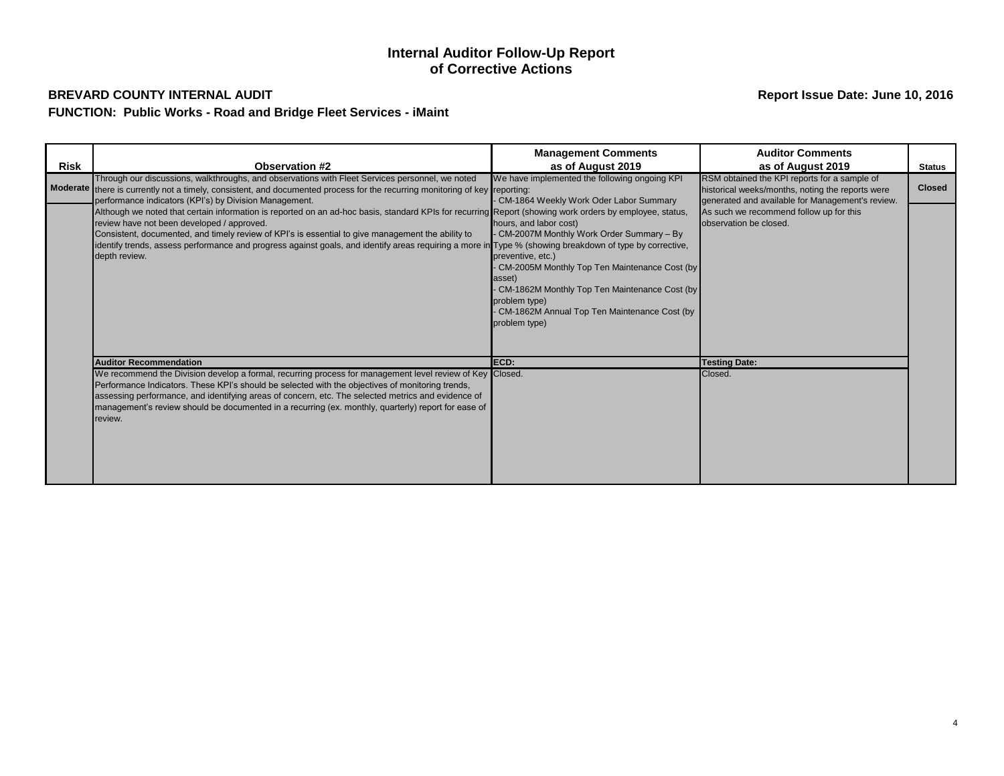## **BREVARD COUNTY INTERNAL AUDIT Report Issue Date: June 10, 2016 FUNCTION: Public Works - Road and Bridge Fleet Services - iMaint**

| <b>Risk</b> | <b>Observation #2</b>                                                                                                                                                                                                                                                                                                                                                                                                                                                                                                                            | <b>Management Comments</b><br>as of August 2019                                                                                                                                                                                                                                       | <b>Auditor Comments</b><br>as of August 2019                                                                                                         | <b>Status</b> |
|-------------|--------------------------------------------------------------------------------------------------------------------------------------------------------------------------------------------------------------------------------------------------------------------------------------------------------------------------------------------------------------------------------------------------------------------------------------------------------------------------------------------------------------------------------------------------|---------------------------------------------------------------------------------------------------------------------------------------------------------------------------------------------------------------------------------------------------------------------------------------|------------------------------------------------------------------------------------------------------------------------------------------------------|---------------|
|             | Through our discussions, walkthroughs, and observations with Fleet Services personnel, we noted<br>Moderate there is currently not a timely, consistent, and documented process for the recurring monitoring of key reporting:                                                                                                                                                                                                                                                                                                                   | We have implemented the following ongoing KPI<br>CM-1864 Weekly Work Oder Labor Summary                                                                                                                                                                                               | RSM obtained the KPI reports for a sample of<br>historical weeks/months, noting the reports were<br>generated and available for Management's review. | <b>Closed</b> |
|             | performance indicators (KPI's) by Division Management.<br>Although we noted that certain information is reported on an ad-hoc basis, standard KPIs for recurring Report (showing work orders by employee, status,<br>review have not been developed / approved.<br>Consistent, documented, and timely review of KPI's is essential to give management the ability to<br>identify trends, assess performance and progress against goals, and identify areas requiring a more in Type % (showing breakdown of type by corrective,<br>depth review. | hours, and labor cost)<br>CM-2007M Monthly Work Order Summary - By<br>preventive, etc.)<br>CM-2005M Monthly Top Ten Maintenance Cost (by<br>asset)<br>CM-1862M Monthly Top Ten Maintenance Cost (by<br>problem type)<br>CM-1862M Annual Top Ten Maintenance Cost (by<br>problem type) | As such we recommend follow up for this<br>observation be closed.                                                                                    |               |
|             | <b>Auditor Recommendation</b>                                                                                                                                                                                                                                                                                                                                                                                                                                                                                                                    | ECD:                                                                                                                                                                                                                                                                                  | <b>Testing Date:</b>                                                                                                                                 |               |
|             | We recommend the Division develop a formal, recurring process for management level review of Key Closed.<br>Performance Indicators. These KPI's should be selected with the objectives of monitoring trends,<br>assessing performance, and identifying areas of concern, etc. The selected metrics and evidence of<br>management's review should be documented in a recurring (ex. monthly, quarterly) report for ease of<br>review.                                                                                                             |                                                                                                                                                                                                                                                                                       | Closed.                                                                                                                                              |               |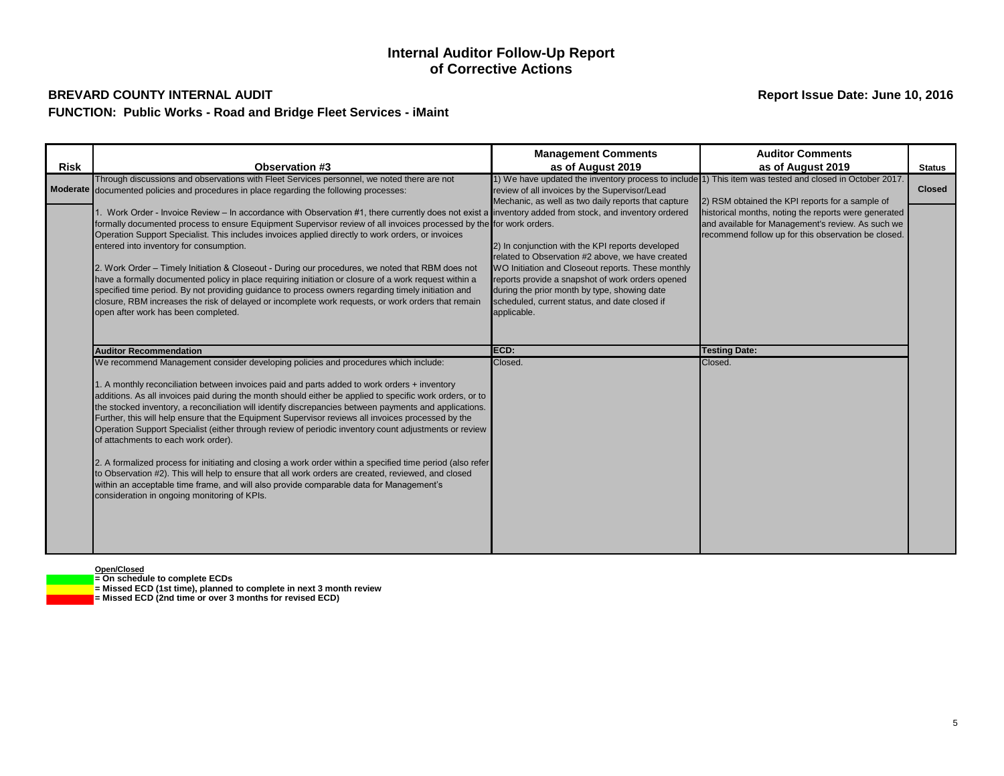## **BREVARD COUNTY INTERNAL AUDIT Report Issue Date: June 10, 2016 FUNCTION: Public Works - Road and Bridge Fleet Services - iMaint**

## **Internal Auditor Follow-Up Report of Corrective Actions**

**Open/Closed**

**= On schedule to complete ECDs**

- - **= Missed ECD (1st time), planned to complete in next 3 month review = Missed ECD (2nd time or over 3 months for revised ECD)**

|             |                                                                                                                                                        | <b>Management Comments</b>                                                                           | <b>Auditor Comments</b>                                                                                 |               |
|-------------|--------------------------------------------------------------------------------------------------------------------------------------------------------|------------------------------------------------------------------------------------------------------|---------------------------------------------------------------------------------------------------------|---------------|
|             | <b>Observation #3</b>                                                                                                                                  |                                                                                                      |                                                                                                         |               |
| <b>Risk</b> |                                                                                                                                                        | as of August 2019                                                                                    | as of August 2019                                                                                       | <b>Status</b> |
|             | Through discussions and observations with Fleet Services personnel, we noted there are not                                                             |                                                                                                      | 1) We have updated the inventory process to include 1) This item was tested and closed in October 2017. | <b>Closed</b> |
|             | Moderate documented policies and procedures in place regarding the following processes:                                                                | review of all invoices by the Supervisor/Lead                                                        |                                                                                                         |               |
|             |                                                                                                                                                        | Mechanic, as well as two daily reports that capture                                                  | 2) RSM obtained the KPI reports for a sample of                                                         |               |
|             | 1. Work Order - Invoice Review – In accordance with Observation #1, there currently does not exist a inventory added from stock, and inventory ordered |                                                                                                      | historical months, noting the reports were generated                                                    |               |
|             | formally documented process to ensure Equipment Supervisor review of all invoices processed by the for work orders.                                    |                                                                                                      | and available for Management's review. As such we                                                       |               |
|             | Operation Support Specialist. This includes invoices applied directly to work orders, or invoices<br>entered into inventory for consumption.           |                                                                                                      | recommend follow up for this observation be closed.                                                     |               |
|             |                                                                                                                                                        | 2) In conjunction with the KPI reports developed<br>related to Observation #2 above, we have created |                                                                                                         |               |
|             | 2. Work Order - Timely Initiation & Closeout - During our procedures, we noted that RBM does not                                                       | WO Initiation and Closeout reports. These monthly                                                    |                                                                                                         |               |
|             | have a formally documented policy in place requiring initiation or closure of a work request within a                                                  | reports provide a snapshot of work orders opened                                                     |                                                                                                         |               |
|             | specified time period. By not providing guidance to process owners regarding timely initiation and                                                     | during the prior month by type, showing date                                                         |                                                                                                         |               |
|             | closure, RBM increases the risk of delayed or incomplete work requests, or work orders that remain                                                     | scheduled, current status, and date closed if                                                        |                                                                                                         |               |
|             | open after work has been completed.                                                                                                                    | applicable.                                                                                          |                                                                                                         |               |
|             |                                                                                                                                                        |                                                                                                      |                                                                                                         |               |
|             |                                                                                                                                                        |                                                                                                      |                                                                                                         |               |
|             |                                                                                                                                                        |                                                                                                      |                                                                                                         |               |
|             | <b>Auditor Recommendation</b>                                                                                                                          | ECD:                                                                                                 | <b>Testing Date:</b>                                                                                    |               |
|             | We recommend Management consider developing policies and procedures which include:                                                                     | Closed.                                                                                              | Closed.                                                                                                 |               |
|             |                                                                                                                                                        |                                                                                                      |                                                                                                         |               |
|             | 1. A monthly reconciliation between invoices paid and parts added to work orders + inventory                                                           |                                                                                                      |                                                                                                         |               |
|             | additions. As all invoices paid during the month should either be applied to specific work orders, or to                                               |                                                                                                      |                                                                                                         |               |
|             | the stocked inventory, a reconciliation will identify discrepancies between payments and applications.                                                 |                                                                                                      |                                                                                                         |               |
|             | Further, this will help ensure that the Equipment Supervisor reviews all invoices processed by the                                                     |                                                                                                      |                                                                                                         |               |
|             | Operation Support Specialist (either through review of periodic inventory count adjustments or review                                                  |                                                                                                      |                                                                                                         |               |
|             | of attachments to each work order).                                                                                                                    |                                                                                                      |                                                                                                         |               |
|             |                                                                                                                                                        |                                                                                                      |                                                                                                         |               |
|             | 2. A formalized process for initiating and closing a work order within a specified time period (also refer                                             |                                                                                                      |                                                                                                         |               |
|             | to Observation #2). This will help to ensure that all work orders are created, reviewed, and closed                                                    |                                                                                                      |                                                                                                         |               |
|             | within an acceptable time frame, and will also provide comparable data for Management's                                                                |                                                                                                      |                                                                                                         |               |
|             | consideration in ongoing monitoring of KPIs.                                                                                                           |                                                                                                      |                                                                                                         |               |
|             |                                                                                                                                                        |                                                                                                      |                                                                                                         |               |
|             |                                                                                                                                                        |                                                                                                      |                                                                                                         |               |
|             |                                                                                                                                                        |                                                                                                      |                                                                                                         |               |
|             |                                                                                                                                                        |                                                                                                      |                                                                                                         |               |
|             |                                                                                                                                                        |                                                                                                      |                                                                                                         |               |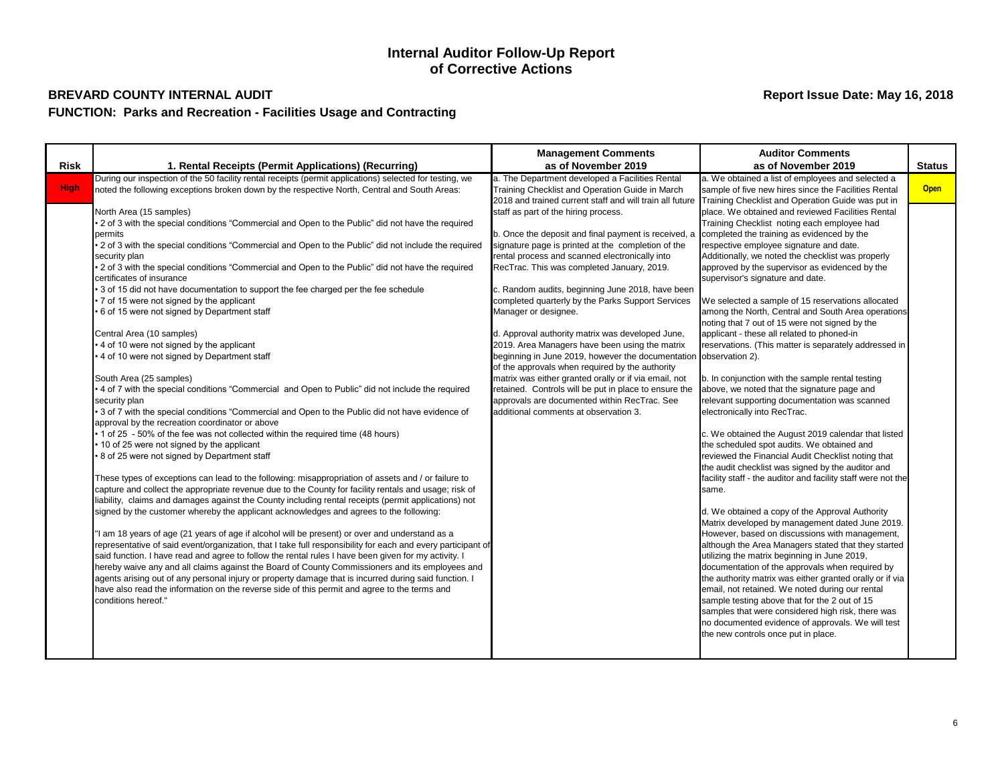| <b>Risk</b> |                                                                                                                                                                                                                                                                                                                                                                                                                                                                                                                                                                                                                                                                                                                                                                                                                                                                                                                                                                                                                                                                                                                                                                                                                                                                                                                                                                                                                                                                                                                                                                                                                                                                                                                                                                                                                                                                                                                                                                                                                                                                                                                                                                                                                                                                                                                                                                                                                                                                                                                                                                  | <b>Management Comments</b>                                                                                                                                                                                                                                                                                                                                                                                                                                                                                                                                                                                                                                                                                                                                                                                                                                                                                                                                                                            | <b>Auditor Comments</b>                                                                                                                                                                                                                                                                                                                                                                                                                                                                                                                                                                                                                                                                                                                                                                                                                                                                                                                                                                                                                                                                                                                                                                                                                                                                                                                                                                                                                                                                                                                                                                                                                                                                                                                                                             |                              |
|-------------|------------------------------------------------------------------------------------------------------------------------------------------------------------------------------------------------------------------------------------------------------------------------------------------------------------------------------------------------------------------------------------------------------------------------------------------------------------------------------------------------------------------------------------------------------------------------------------------------------------------------------------------------------------------------------------------------------------------------------------------------------------------------------------------------------------------------------------------------------------------------------------------------------------------------------------------------------------------------------------------------------------------------------------------------------------------------------------------------------------------------------------------------------------------------------------------------------------------------------------------------------------------------------------------------------------------------------------------------------------------------------------------------------------------------------------------------------------------------------------------------------------------------------------------------------------------------------------------------------------------------------------------------------------------------------------------------------------------------------------------------------------------------------------------------------------------------------------------------------------------------------------------------------------------------------------------------------------------------------------------------------------------------------------------------------------------------------------------------------------------------------------------------------------------------------------------------------------------------------------------------------------------------------------------------------------------------------------------------------------------------------------------------------------------------------------------------------------------------------------------------------------------------------------------------------------------|-------------------------------------------------------------------------------------------------------------------------------------------------------------------------------------------------------------------------------------------------------------------------------------------------------------------------------------------------------------------------------------------------------------------------------------------------------------------------------------------------------------------------------------------------------------------------------------------------------------------------------------------------------------------------------------------------------------------------------------------------------------------------------------------------------------------------------------------------------------------------------------------------------------------------------------------------------------------------------------------------------|-------------------------------------------------------------------------------------------------------------------------------------------------------------------------------------------------------------------------------------------------------------------------------------------------------------------------------------------------------------------------------------------------------------------------------------------------------------------------------------------------------------------------------------------------------------------------------------------------------------------------------------------------------------------------------------------------------------------------------------------------------------------------------------------------------------------------------------------------------------------------------------------------------------------------------------------------------------------------------------------------------------------------------------------------------------------------------------------------------------------------------------------------------------------------------------------------------------------------------------------------------------------------------------------------------------------------------------------------------------------------------------------------------------------------------------------------------------------------------------------------------------------------------------------------------------------------------------------------------------------------------------------------------------------------------------------------------------------------------------------------------------------------------------|------------------------------|
|             |                                                                                                                                                                                                                                                                                                                                                                                                                                                                                                                                                                                                                                                                                                                                                                                                                                                                                                                                                                                                                                                                                                                                                                                                                                                                                                                                                                                                                                                                                                                                                                                                                                                                                                                                                                                                                                                                                                                                                                                                                                                                                                                                                                                                                                                                                                                                                                                                                                                                                                                                                                  |                                                                                                                                                                                                                                                                                                                                                                                                                                                                                                                                                                                                                                                                                                                                                                                                                                                                                                                                                                                                       |                                                                                                                                                                                                                                                                                                                                                                                                                                                                                                                                                                                                                                                                                                                                                                                                                                                                                                                                                                                                                                                                                                                                                                                                                                                                                                                                                                                                                                                                                                                                                                                                                                                                                                                                                                                     |                              |
| <b>High</b> | 1. Rental Receipts (Permit Applications) (Recurring)<br>During our inspection of the 50 facility rental receipts (permit applications) selected for testing, we<br>noted the following exceptions broken down by the respective North, Central and South Areas:<br>North Area (15 samples)<br>• 2 of 3 with the special conditions "Commercial and Open to the Public" did not have the required<br>permits<br>2 of 3 with the special conditions "Commercial and Open to the Public" did not include the required<br>security plan<br>• 2 of 3 with the special conditions "Commercial and Open to the Public" did not have the required<br>certificates of insurance<br>• 3 of 15 did not have documentation to support the fee charged per the fee schedule<br>• 7 of 15 were not signed by the applicant<br>6 of 15 were not signed by Department staff<br>Central Area (10 samples)<br>• 4 of 10 were not signed by the applicant<br>• 4 of 10 were not signed by Department staff<br>South Area (25 samples)<br>• 4 of 7 with the special conditions "Commercial and Open to Public" did not include the required<br>security plan<br>• 3 of 7 with the special conditions "Commercial and Open to the Public did not have evidence of<br>approval by the recreation coordinator or above<br>• 1 of 25 - 50% of the fee was not collected within the required time (48 hours)<br>• 10 of 25 were not signed by the applicant<br>8 of 25 were not signed by Department staff<br>These types of exceptions can lead to the following: misappropriation of assets and / or failure to<br>capture and collect the appropriate revenue due to the County for facility rentals and usage; risk of<br>liability, claims and damages against the County including rental receipts (permit applications) not<br>signed by the customer whereby the applicant acknowledges and agrees to the following:<br>"I am 18 years of age (21 years of age if alcohol will be present) or over and understand as a<br>representative of said event/organization, that I take full responsibility for each and every participant of<br>said function. I have read and agree to follow the rental rules I have been given for my activity. I<br>hereby waive any and all claims against the Board of County Commissioners and its employees and<br>agents arising out of any personal injury or property damage that is incurred during said function. I<br>have also read the information on the reverse side of this permit and agree to the terms and<br>conditions hereof." | as of November 2019<br>a. The Department developed a Facilities Rental<br>Training Checklist and Operation Guide in March<br>2018 and trained current staff and will train all future<br>staff as part of the hiring process.<br>b. Once the deposit and final payment is received, a<br>signature page is printed at the completion of the<br>rental process and scanned electronically into<br>RecTrac. This was completed January, 2019.<br>c. Random audits, beginning June 2018, have been<br>completed quarterly by the Parks Support Services<br>Manager or designee.<br>d. Approval authority matrix was developed June,<br>2019. Area Managers have been using the matrix<br>beginning in June 2019, however the documentation<br>of the approvals when required by the authority<br>matrix was either granted orally or if via email, not<br>retained. Controls will be put in place to ensure the<br>approvals are documented within RecTrac. See<br>additional comments at observation 3. | as of November 2019<br>a. We obtained a list of employees and selected a<br>sample of five new hires since the Facilities Rental<br>Training Checklist and Operation Guide was put in<br>place. We obtained and reviewed Facilities Rental<br>Training Checklist noting each employee had<br>completed the training as evidenced by the<br>respective employee signature and date.<br>Additionally, we noted the checklist was properly<br>approved by the supervisor as evidenced by the<br>supervisor's signature and date.<br>We selected a sample of 15 reservations allocated<br>among the North, Central and South Area operations<br>noting that 7 out of 15 were not signed by the<br>applicant - these all related to phoned-in<br>reservations. (This matter is separately addressed in<br>observation 2).<br>b. In conjunction with the sample rental testing<br>above, we noted that the signature page and<br>relevant supporting documentation was scanned<br>electronically into RecTrac.<br>c. We obtained the August 2019 calendar that listed<br>the scheduled spot audits. We obtained and<br>reviewed the Financial Audit Checklist noting that<br>the audit checklist was signed by the auditor and<br>facility staff - the auditor and facility staff were not the<br>same.<br>d. We obtained a copy of the Approval Authority<br>Matrix developed by management dated June 2019.<br>However, based on discussions with management,<br>although the Area Managers stated that they started<br>utilizing the matrix beginning in June 2019,<br>documentation of the approvals when required by<br>the authority matrix was either granted orally or if via<br>email, not retained. We noted during our rental<br>sample testing above that for the 2 out of 15 | <b>Status</b><br><b>Open</b> |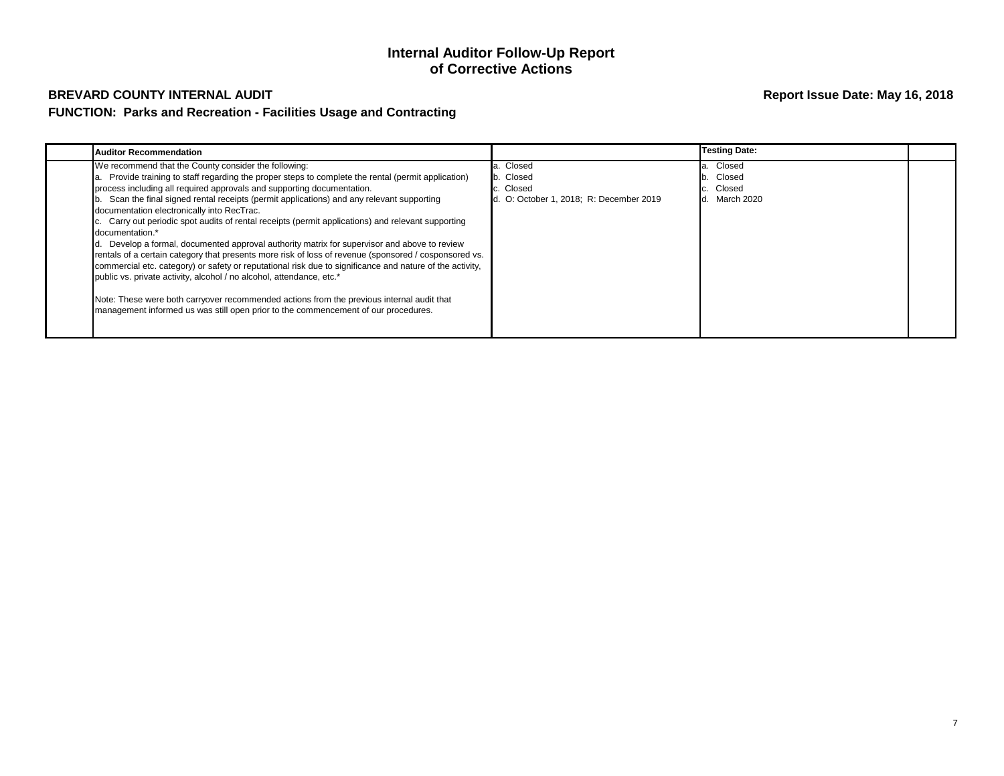| Auditor Recommendation                                                                                                                                                                                                                                                                                                                                                                                                                                                                                                                                                                                                                                                                                                                                                                                                                                                                                                                                                                                                                                                               |                                                                            | <b>Testing Date:</b>                            |  |
|--------------------------------------------------------------------------------------------------------------------------------------------------------------------------------------------------------------------------------------------------------------------------------------------------------------------------------------------------------------------------------------------------------------------------------------------------------------------------------------------------------------------------------------------------------------------------------------------------------------------------------------------------------------------------------------------------------------------------------------------------------------------------------------------------------------------------------------------------------------------------------------------------------------------------------------------------------------------------------------------------------------------------------------------------------------------------------------|----------------------------------------------------------------------------|-------------------------------------------------|--|
| We recommend that the County consider the following:<br>Provide training to staff regarding the proper steps to complete the rental (permit application)<br>process including all required approvals and supporting documentation.<br>Scan the final signed rental receipts (permit applications) and any relevant supporting<br>documentation electronically into RecTrac.<br>c. Carry out periodic spot audits of rental receipts (permit applications) and relevant supporting<br>documentation.*<br>d. Develop a formal, documented approval authority matrix for supervisor and above to review<br>rentals of a certain category that presents more risk of loss of revenue (sponsored / cosponsored vs.<br>commercial etc. category) or safety or reputational risk due to significance and nature of the activity,<br>public vs. private activity, alcohol / no alcohol, attendance, etc.*<br>Note: These were both carryover recommended actions from the previous internal audit that<br>management informed us was still open prior to the commencement of our procedures. | Closed<br>b. Closed<br>. Closed<br>d. O: October 1, 2018; R: December 2019 | Closed<br>Closed<br>Closed<br>March 2020<br>Id. |  |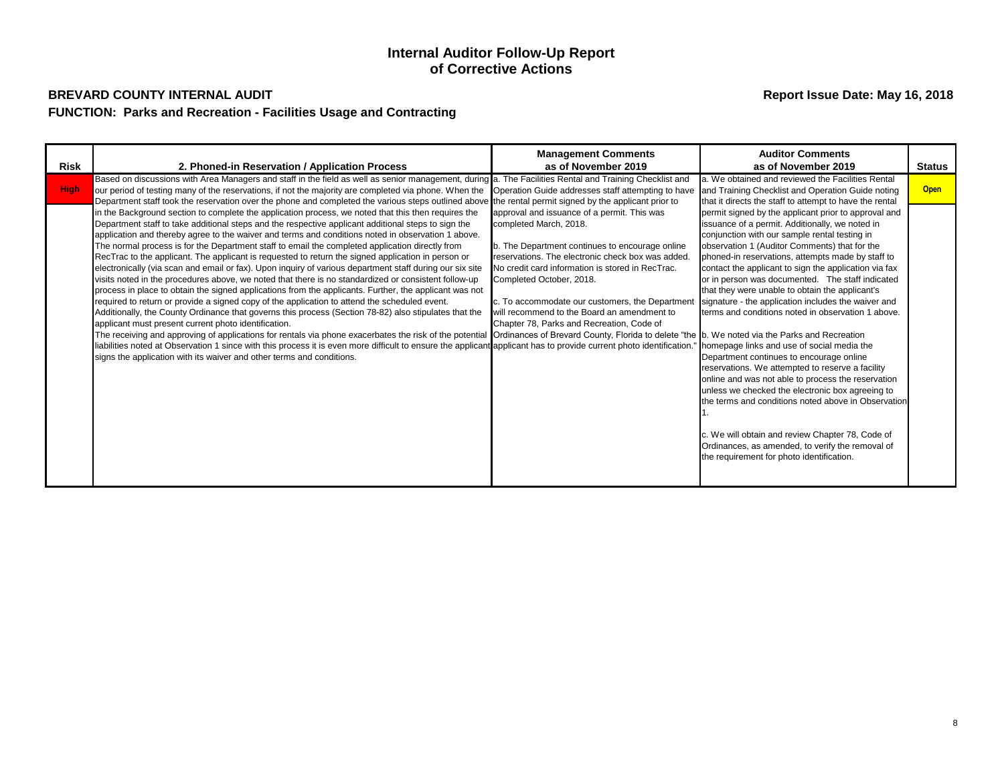|             |                                                                                                                                                                                                                                                                                                                                                                                                                                                                                                                                                                                                                                                                                                                                                                                                                                                                                                                                                                                                                                                                                                                                                                                                                                                                                                                                                                                                                                                                                                                                                                                    | <b>Management Comments</b>                                                                                                                                                                                                                                                                                                                                                                                   | <b>Auditor Comments</b>                                                                                                                                                                                                                                                                                                                                                                                                                                                                                                                                                                                                                                                                                                                                                                                                                                                                                                                                                                                         |               |
|-------------|------------------------------------------------------------------------------------------------------------------------------------------------------------------------------------------------------------------------------------------------------------------------------------------------------------------------------------------------------------------------------------------------------------------------------------------------------------------------------------------------------------------------------------------------------------------------------------------------------------------------------------------------------------------------------------------------------------------------------------------------------------------------------------------------------------------------------------------------------------------------------------------------------------------------------------------------------------------------------------------------------------------------------------------------------------------------------------------------------------------------------------------------------------------------------------------------------------------------------------------------------------------------------------------------------------------------------------------------------------------------------------------------------------------------------------------------------------------------------------------------------------------------------------------------------------------------------------|--------------------------------------------------------------------------------------------------------------------------------------------------------------------------------------------------------------------------------------------------------------------------------------------------------------------------------------------------------------------------------------------------------------|-----------------------------------------------------------------------------------------------------------------------------------------------------------------------------------------------------------------------------------------------------------------------------------------------------------------------------------------------------------------------------------------------------------------------------------------------------------------------------------------------------------------------------------------------------------------------------------------------------------------------------------------------------------------------------------------------------------------------------------------------------------------------------------------------------------------------------------------------------------------------------------------------------------------------------------------------------------------------------------------------------------------|---------------|
| <b>Risk</b> | 2. Phoned-in Reservation / Application Process                                                                                                                                                                                                                                                                                                                                                                                                                                                                                                                                                                                                                                                                                                                                                                                                                                                                                                                                                                                                                                                                                                                                                                                                                                                                                                                                                                                                                                                                                                                                     | as of November 2019                                                                                                                                                                                                                                                                                                                                                                                          | as of November 2019                                                                                                                                                                                                                                                                                                                                                                                                                                                                                                                                                                                                                                                                                                                                                                                                                                                                                                                                                                                             | <b>Status</b> |
| <b>High</b> | Based on discussions with Area Managers and staff in the field as well as senior management, during a. The Facilities Rental and Training Checklist and<br>our period of testing many of the reservations, if not the majority are completed via phone. When the<br>Department staff took the reservation over the phone and completed the various steps outlined above the rental permit signed by the applicant prior to                                                                                                                                                                                                                                                                                                                                                                                                                                                                                                                                                                                                                                                                                                                                                                                                                                                                                                                                                                                                                                                                                                                                                         | Operation Guide addresses staff attempting to have                                                                                                                                                                                                                                                                                                                                                           | a. We obtained and reviewed the Facilities Rental<br>and Training Checklist and Operation Guide noting<br>that it directs the staff to attempt to have the rental                                                                                                                                                                                                                                                                                                                                                                                                                                                                                                                                                                                                                                                                                                                                                                                                                                               | <b>Open</b>   |
|             | in the Background section to complete the application process, we noted that this then requires the<br>Department staff to take additional steps and the respective applicant additional steps to sign the<br>application and thereby agree to the waiver and terms and conditions noted in observation 1 above.<br>The normal process is for the Department staff to email the completed application directly from<br>RecTrac to the applicant. The applicant is requested to return the signed application in person or<br>electronically (via scan and email or fax). Upon inquiry of various department staff during our six site<br>visits noted in the procedures above, we noted that there is no standardized or consistent follow-up<br>process in place to obtain the signed applications from the applicants. Further, the applicant was not<br>required to return or provide a signed copy of the application to attend the scheduled event.<br>Additionally, the County Ordinance that governs this process (Section 78-82) also stipulates that the<br>applicant must present current photo identification.<br>The receiving and approving of applications for rentals via phone exacerbates the risk of the potential Ordinances of Brevard County, Florida to delete "the b. We noted via the Parks and Recreation<br>liabilities noted at Observation 1 since with this process it is even more difficult to ensure the applicant applicant has to provide current photo identification.<br>signs the application with its waiver and other terms and conditions. | approval and issuance of a permit. This was<br>completed March, 2018.<br>b. The Department continues to encourage online<br>reservations. The electronic check box was added.<br>No credit card information is stored in RecTrac.<br>Completed October, 2018.<br>c. To accommodate our customers, the Department<br>will recommend to the Board an amendment to<br>Chapter 78, Parks and Recreation, Code of | permit signed by the applicant prior to approval and<br>issuance of a permit. Additionally, we noted in<br>conjunction with our sample rental testing in<br>observation 1 (Auditor Comments) that for the<br>phoned-in reservations, attempts made by staff to<br>contact the applicant to sign the application via fax<br>or in person was documented. The staff indicated<br>that they were unable to obtain the applicant's<br>signature - the application includes the waiver and<br>terms and conditions noted in observation 1 above.<br>homepage links and use of social media the<br>Department continues to encourage online<br>reservations. We attempted to reserve a facility<br>online and was not able to process the reservation<br>unless we checked the electronic box agreeing to<br>the terms and conditions noted above in Observation<br>c. We will obtain and review Chapter 78, Code of<br>Ordinances, as amended, to verify the removal of<br>the requirement for photo identification. |               |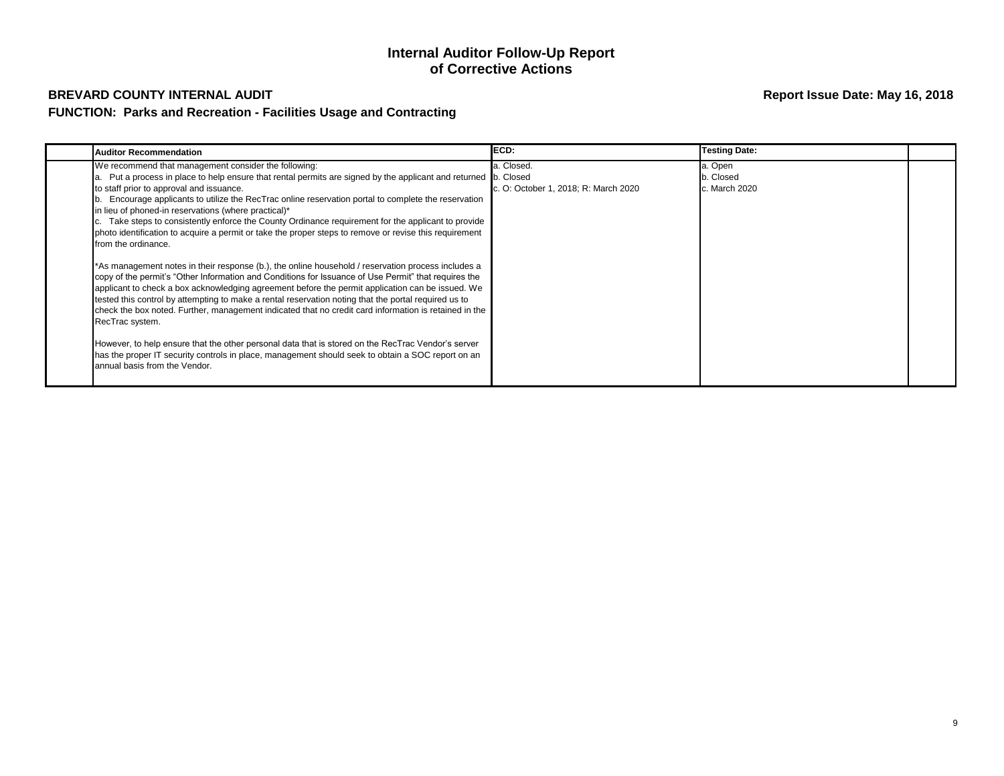| <b>Auditor Recommendation</b>                                                                                                                                                                                                                                                                                                                                                                                                                                                                                                                                                                                                                                                                                                                                                                                                                                                                                                                                                                                                                                                                                                                                                                                                                                                                                                                                                                                           | ECD:                                               | <b>Testing Date:</b>                  |  |
|-------------------------------------------------------------------------------------------------------------------------------------------------------------------------------------------------------------------------------------------------------------------------------------------------------------------------------------------------------------------------------------------------------------------------------------------------------------------------------------------------------------------------------------------------------------------------------------------------------------------------------------------------------------------------------------------------------------------------------------------------------------------------------------------------------------------------------------------------------------------------------------------------------------------------------------------------------------------------------------------------------------------------------------------------------------------------------------------------------------------------------------------------------------------------------------------------------------------------------------------------------------------------------------------------------------------------------------------------------------------------------------------------------------------------|----------------------------------------------------|---------------------------------------|--|
| We recommend that management consider the following:<br>Put a process in place to help ensure that rental permits are signed by the applicant and returned b. Closed<br>to staff prior to approval and issuance.<br>b. Encourage applicants to utilize the RecTrac online reservation portal to complete the reservation<br>in lieu of phoned-in reservations (where practical)*<br>Take steps to consistently enforce the County Ordinance requirement for the applicant to provide<br>photo identification to acquire a permit or take the proper steps to remove or revise this requirement<br>from the ordinance.<br>*As management notes in their response (b.), the online household / reservation process includes a<br>copy of the permit's "Other Information and Conditions for Issuance of Use Permit" that requires the<br>applicant to check a box acknowledging agreement before the permit application can be issued. We<br>tested this control by attempting to make a rental reservation noting that the portal required us to<br>check the box noted. Further, management indicated that no credit card information is retained in the<br>RecTrac system.<br>However, to help ensure that the other personal data that is stored on the RecTrac Vendor's server<br>has the proper IT security controls in place, management should seek to obtain a SOC report on an<br>annual basis from the Vendor. | a. Closed.<br>c. O: October 1, 2018; R: March 2020 | a. Open<br>b. Closed<br>c. March 2020 |  |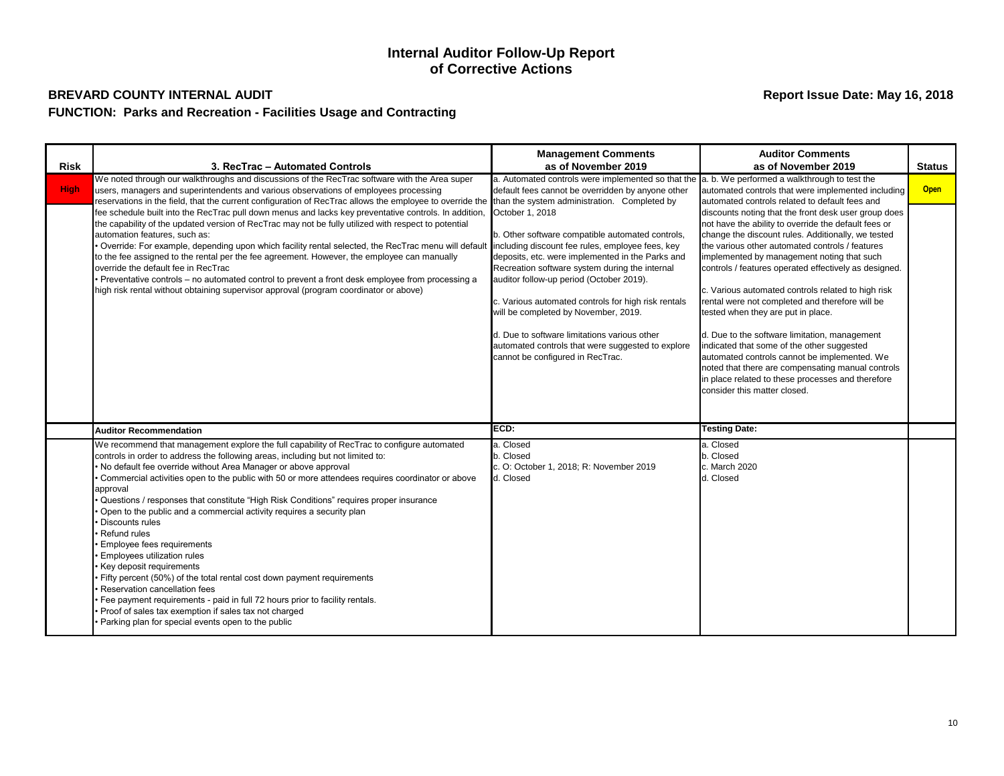| <b>Risk</b> | 3. RecTrac - Automated Controls                                                                                                                                                                                                                                                                                                                                                                                                                                                                                                                                                                                                                                                                                                                                                                                                                                                                                                                                         | <b>Management Comments</b><br>as of November 2019                                                                                                                                                                                                                                                                                                                                                                                                                                                                 | <b>Auditor Comments</b><br>as of November 2019                                                                                                                                                                                                                                                                                                                                                                                                                                                                                                                                                                                                                                                                                                                       | <b>Status</b> |
|-------------|-------------------------------------------------------------------------------------------------------------------------------------------------------------------------------------------------------------------------------------------------------------------------------------------------------------------------------------------------------------------------------------------------------------------------------------------------------------------------------------------------------------------------------------------------------------------------------------------------------------------------------------------------------------------------------------------------------------------------------------------------------------------------------------------------------------------------------------------------------------------------------------------------------------------------------------------------------------------------|-------------------------------------------------------------------------------------------------------------------------------------------------------------------------------------------------------------------------------------------------------------------------------------------------------------------------------------------------------------------------------------------------------------------------------------------------------------------------------------------------------------------|----------------------------------------------------------------------------------------------------------------------------------------------------------------------------------------------------------------------------------------------------------------------------------------------------------------------------------------------------------------------------------------------------------------------------------------------------------------------------------------------------------------------------------------------------------------------------------------------------------------------------------------------------------------------------------------------------------------------------------------------------------------------|---------------|
| <b>High</b> | We noted through our walkthroughs and discussions of the RecTrac software with the Area super<br>users, managers and superintendents and various observations of employees processing<br>reservations in the field, that the current configuration of RecTrac allows the employee to override the than the system administration. Completed by                                                                                                                                                                                                                                                                                                                                                                                                                                                                                                                                                                                                                          | a. Automated controls were implemented so that the $ a, b$ . We performed a walkthrough to test the<br>default fees cannot be overridden by anyone other                                                                                                                                                                                                                                                                                                                                                          | automated controls that were implemented including<br>automated controls related to default fees and                                                                                                                                                                                                                                                                                                                                                                                                                                                                                                                                                                                                                                                                 | <b>Open</b>   |
|             | fee schedule built into the RecTrac pull down menus and lacks key preventative controls. In addition,<br>the capability of the updated version of RecTrac may not be fully utilized with respect to potential<br>automation features, such as:<br>Override: For example, depending upon which facility rental selected, the RecTrac menu will default<br>to the fee assigned to the rental per the fee agreement. However, the employee can manually<br>override the default fee in RecTrac<br>Preventative controls - no automated control to prevent a front desk employee from processing a<br>high risk rental without obtaining supervisor approval (program coordinator or above)                                                                                                                                                                                                                                                                                 | October 1, 2018<br>b. Other software compatible automated controls,<br>including discount fee rules, employee fees, key<br>deposits, etc. were implemented in the Parks and<br>Recreation software system during the internal<br>auditor follow-up period (October 2019).<br>c. Various automated controls for high risk rentals<br>will be completed by November, 2019.<br>d. Due to software limitations various other<br>automated controls that were suggested to explore<br>cannot be configured in RecTrac. | discounts noting that the front desk user group does<br>not have the ability to override the default fees or<br>change the discount rules. Additionally, we tested<br>the various other automated controls / features<br>implemented by management noting that such<br>controls / features operated effectively as designed.<br>c. Various automated controls related to high risk<br>rental were not completed and therefore will be<br>tested when they are put in place.<br>d. Due to the software limitation, management<br>indicated that some of the other suggested<br>automated controls cannot be implemented. We<br>noted that there are compensating manual controls<br>in place related to these processes and therefore<br>consider this matter closed. |               |
|             | <b>Auditor Recommendation</b>                                                                                                                                                                                                                                                                                                                                                                                                                                                                                                                                                                                                                                                                                                                                                                                                                                                                                                                                           | ECD:                                                                                                                                                                                                                                                                                                                                                                                                                                                                                                              | <b>Testing Date:</b>                                                                                                                                                                                                                                                                                                                                                                                                                                                                                                                                                                                                                                                                                                                                                 |               |
|             | We recommend that management explore the full capability of RecTrac to configure automated<br>controls in order to address the following areas, including but not limited to:<br>No default fee override without Area Manager or above approval<br>Commercial activities open to the public with 50 or more attendees requires coordinator or above<br>approval<br>Questions / responses that constitute "High Risk Conditions" requires proper insurance<br>Open to the public and a commercial activity requires a security plan<br>Discounts rules<br>Refund rules<br>Employee fees requirements<br>Employees utilization rules<br>Key deposit requirements<br>Fifty percent (50%) of the total rental cost down payment requirements<br>Reservation cancellation fees<br>Fee payment requirements - paid in full 72 hours prior to facility rentals.<br>Proof of sales tax exemption if sales tax not charged<br>Parking plan for special events open to the public | a. Closed<br>b. Closed<br>c. O: October 1, 2018; R: November 2019<br>d. Closed                                                                                                                                                                                                                                                                                                                                                                                                                                    | a. Closed<br>b. Closed<br>c. March 2020<br>d. Closed                                                                                                                                                                                                                                                                                                                                                                                                                                                                                                                                                                                                                                                                                                                 |               |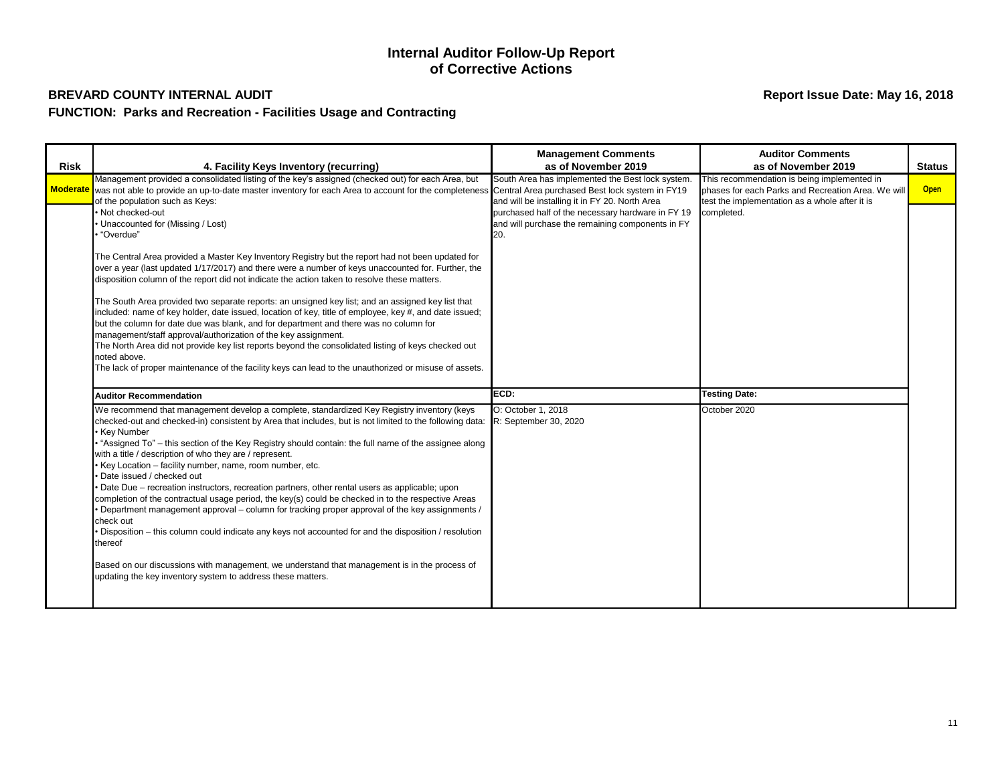| <b>Risk</b> | 4. Facility Keys Inventory (recurring)                                                                                                                                                                                                                                                                                                                                                                                                                                                                                                                                                                                                                                                                                                                                                                                                                                                                                                                                                                                                                                                       | <b>Management Comments</b><br>as of November 2019                                                                                                       | <b>Auditor Comments</b><br>as of November 2019                                                                                                                    | <b>Status</b> |
|-------------|----------------------------------------------------------------------------------------------------------------------------------------------------------------------------------------------------------------------------------------------------------------------------------------------------------------------------------------------------------------------------------------------------------------------------------------------------------------------------------------------------------------------------------------------------------------------------------------------------------------------------------------------------------------------------------------------------------------------------------------------------------------------------------------------------------------------------------------------------------------------------------------------------------------------------------------------------------------------------------------------------------------------------------------------------------------------------------------------|---------------------------------------------------------------------------------------------------------------------------------------------------------|-------------------------------------------------------------------------------------------------------------------------------------------------------------------|---------------|
|             | Management provided a consolidated listing of the key's assigned (checked out) for each Area, but<br>Moderate was not able to provide an up-to-date master inventory for each Area to account for the completeness Central Area purchased Best lock system in FY19<br>of the population such as Keys:<br>• Not checked-out                                                                                                                                                                                                                                                                                                                                                                                                                                                                                                                                                                                                                                                                                                                                                                   | South Area has implemented the Best lock system.<br>and will be installing it in FY 20. North Area<br>purchased half of the necessary hardware in FY 19 | This recommendation is being implemented in<br>phases for each Parks and Recreation Area. We will<br>test the implementation as a whole after it is<br>completed. | <b>Open</b>   |
|             | Unaccounted for (Missing / Lost)<br>"Overdue"<br>The Central Area provided a Master Key Inventory Registry but the report had not been updated for<br>over a year (last updated 1/17/2017) and there were a number of keys unaccounted for. Further, the<br>disposition column of the report did not indicate the action taken to resolve these matters.<br>The South Area provided two separate reports: an unsigned key list; and an assigned key list that                                                                                                                                                                                                                                                                                                                                                                                                                                                                                                                                                                                                                                | and will purchase the remaining components in FY<br>20.                                                                                                 |                                                                                                                                                                   |               |
|             | included: name of key holder, date issued, location of key, title of employee, key #, and date issued;<br>but the column for date due was blank, and for department and there was no column for<br>management/staff approval/authorization of the key assignment.<br>The North Area did not provide key list reports beyond the consolidated listing of keys checked out<br>noted above.<br>The lack of proper maintenance of the facility keys can lead to the unauthorized or misuse of assets.                                                                                                                                                                                                                                                                                                                                                                                                                                                                                                                                                                                            |                                                                                                                                                         |                                                                                                                                                                   |               |
|             | <b>Auditor Recommendation</b>                                                                                                                                                                                                                                                                                                                                                                                                                                                                                                                                                                                                                                                                                                                                                                                                                                                                                                                                                                                                                                                                | ECD:                                                                                                                                                    | <b>Testing Date:</b>                                                                                                                                              |               |
|             | We recommend that management develop a complete, standardized Key Registry inventory (keys<br>checked-out and checked-in) consistent by Area that includes, but is not limited to the following data:<br>• Key Number<br>Straigned To" – this section of the Key Registry should contain: the full name of the assignee along<br>with a title / description of who they are / represent.<br>• Key Location - facility number, name, room number, etc.<br>Date issued / checked out<br>· Date Due – recreation instructors, recreation partners, other rental users as applicable; upon<br>completion of the contractual usage period, the key(s) could be checked in to the respective Areas<br>Department management approval – column for tracking proper approval of the key assignments /<br>check out<br>Disposition – this column could indicate any keys not accounted for and the disposition / resolution<br>thereof<br>Based on our discussions with management, we understand that management is in the process of<br>updating the key inventory system to address these matters. | O: October 1, 2018<br>R: September 30, 2020                                                                                                             | October 2020                                                                                                                                                      |               |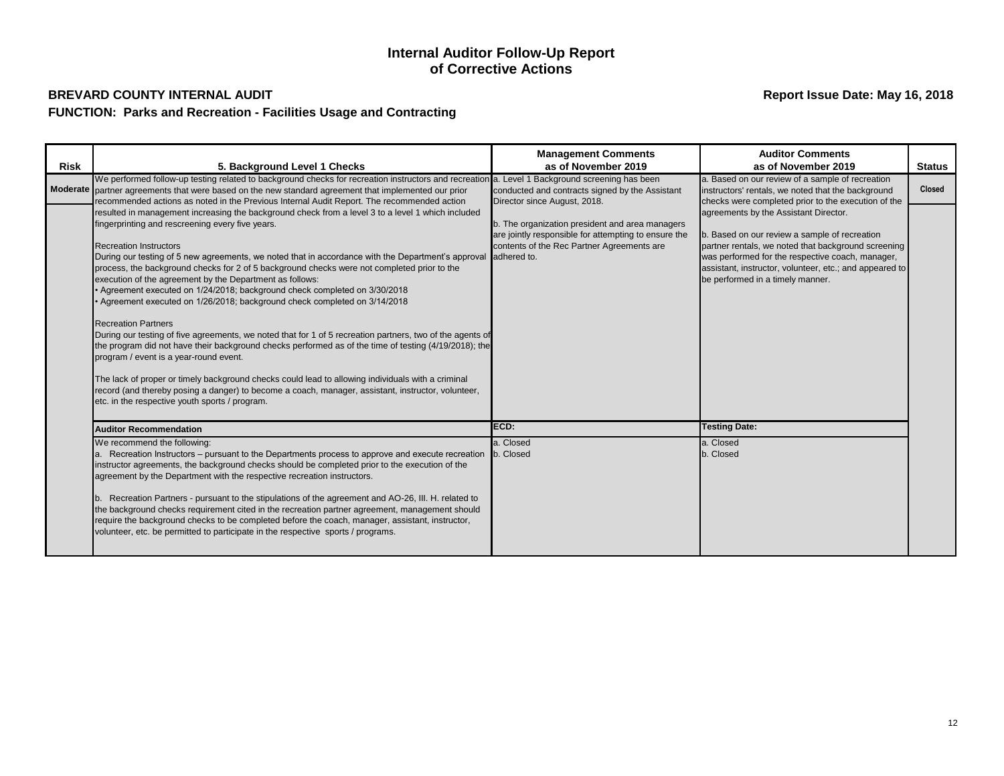| <b>Risk</b> |                                                                                                                                                                                                                                                                                                                                                                                                                                                                                                                                                                                                                                                                                                                                                                                                                                                                                                                                                                                                                                                                                                                                                                                          | <b>Management Comments</b><br>as of November 2019                                                                                                     | <b>Auditor Comments</b><br>as of November 2019                                                                                                                                                                                                                                                   | <b>Status</b> |
|-------------|------------------------------------------------------------------------------------------------------------------------------------------------------------------------------------------------------------------------------------------------------------------------------------------------------------------------------------------------------------------------------------------------------------------------------------------------------------------------------------------------------------------------------------------------------------------------------------------------------------------------------------------------------------------------------------------------------------------------------------------------------------------------------------------------------------------------------------------------------------------------------------------------------------------------------------------------------------------------------------------------------------------------------------------------------------------------------------------------------------------------------------------------------------------------------------------|-------------------------------------------------------------------------------------------------------------------------------------------------------|--------------------------------------------------------------------------------------------------------------------------------------------------------------------------------------------------------------------------------------------------------------------------------------------------|---------------|
|             | 5. Background Level 1 Checks<br>We performed follow-up testing related to background checks for recreation instructors and recreation a. Level 1 Background screening has been<br>Moderate partner agreements that were based on the new standard agreement that implemented our prior<br>recommended actions as noted in the Previous Internal Audit Report. The recommended action                                                                                                                                                                                                                                                                                                                                                                                                                                                                                                                                                                                                                                                                                                                                                                                                     | conducted and contracts signed by the Assistant<br>Director since August, 2018.                                                                       | a. Based on our review of a sample of recreation<br>instructors' rentals, we noted that the background<br>checks were completed prior to the execution of the                                                                                                                                    | <b>Closed</b> |
|             | resulted in management increasing the background check from a level 3 to a level 1 which included<br>fingerprinting and rescreening every five years.<br><b>Recreation Instructors</b><br>During our testing of 5 new agreements, we noted that in accordance with the Department's approval adhered to.<br>process, the background checks for 2 of 5 background checks were not completed prior to the<br>execution of the agreement by the Department as follows:<br>• Agreement executed on 1/24/2018; background check completed on 3/30/2018<br>Agreement executed on 1/26/2018; background check completed on 3/14/2018<br><b>Recreation Partners</b><br>During our testing of five agreements, we noted that for 1 of 5 recreation partners, two of the agents of<br>the program did not have their background checks performed as of the time of testing (4/19/2018); the<br>program / event is a year-round event.<br>The lack of proper or timely background checks could lead to allowing individuals with a criminal<br>record (and thereby posing a danger) to become a coach, manager, assistant, instructor, volunteer,<br>etc. in the respective youth sports / program. | b. The organization president and area managers<br>are jointly responsible for attempting to ensure the<br>contents of the Rec Partner Agreements are | agreements by the Assistant Director.<br>b. Based on our review a sample of recreation<br>partner rentals, we noted that background screening<br>was performed for the respective coach, manager,<br>assistant, instructor, volunteer, etc.; and appeared to<br>be performed in a timely manner. |               |
|             | <b>Auditor Recommendation</b>                                                                                                                                                                                                                                                                                                                                                                                                                                                                                                                                                                                                                                                                                                                                                                                                                                                                                                                                                                                                                                                                                                                                                            | ECD:                                                                                                                                                  | <b>Testing Date:</b>                                                                                                                                                                                                                                                                             |               |
|             | We recommend the following:<br>a. Recreation Instructors – pursuant to the Departments process to approve and execute recreation<br>instructor agreements, the background checks should be completed prior to the execution of the<br>agreement by the Department with the respective recreation instructors.<br>b. Recreation Partners - pursuant to the stipulations of the agreement and AO-26, III. H. related to<br>the background checks requirement cited in the recreation partner agreement, management should<br>require the background checks to be completed before the coach, manager, assistant, instructor,<br>volunteer, etc. be permitted to participate in the respective sports / programs.                                                                                                                                                                                                                                                                                                                                                                                                                                                                           | a. Closed<br>b. Closed                                                                                                                                | a. Closed<br>b. Closed                                                                                                                                                                                                                                                                           |               |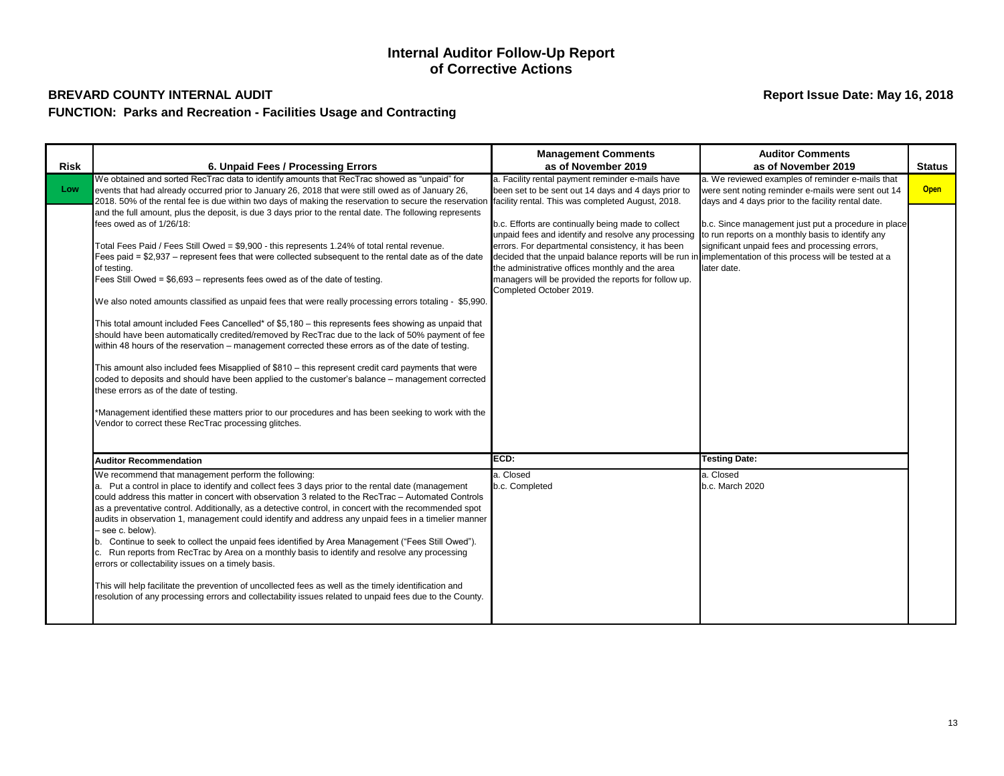| <b>Risk</b> | 6. Unpaid Fees / Processing Errors                                                                                                                                                                                                                                                                                                                                                                                                                                                                                                                                                                                                                                                                                                                                                                                                                                                                                                                                                                                                                                                                                                                                                                                                                                                     | <b>Management Comments</b><br>as of November 2019                                                                                                                                                                                                                                                                                                                                                                 | <b>Auditor Comments</b><br>as of November 2019                                                                                                                            | <b>Status</b> |
|-------------|----------------------------------------------------------------------------------------------------------------------------------------------------------------------------------------------------------------------------------------------------------------------------------------------------------------------------------------------------------------------------------------------------------------------------------------------------------------------------------------------------------------------------------------------------------------------------------------------------------------------------------------------------------------------------------------------------------------------------------------------------------------------------------------------------------------------------------------------------------------------------------------------------------------------------------------------------------------------------------------------------------------------------------------------------------------------------------------------------------------------------------------------------------------------------------------------------------------------------------------------------------------------------------------|-------------------------------------------------------------------------------------------------------------------------------------------------------------------------------------------------------------------------------------------------------------------------------------------------------------------------------------------------------------------------------------------------------------------|---------------------------------------------------------------------------------------------------------------------------------------------------------------------------|---------------|
| Low         | We obtained and sorted RecTrac data to identify amounts that RecTrac showed as "unpaid" for<br>events that had already occurred prior to January 26, 2018 that were still owed as of January 26,<br>2018. 50% of the rental fee is due within two days of making the reservation to secure the reservation                                                                                                                                                                                                                                                                                                                                                                                                                                                                                                                                                                                                                                                                                                                                                                                                                                                                                                                                                                             | a. Facility rental payment reminder e-mails have<br>been set to be sent out 14 days and 4 days prior to<br>facility rental. This was completed August, 2018.                                                                                                                                                                                                                                                      | a. We reviewed examples of reminder e-mails that<br>were sent noting reminder e-mails were sent out 14<br>days and 4 days prior to the facility rental date.              | <b>Open</b>   |
|             | and the full amount, plus the deposit, is due 3 days prior to the rental date. The following represents<br>fees owed as of 1/26/18:<br>Total Fees Paid / Fees Still Owed = \$9,900 - this represents 1.24% of total rental revenue.<br>Fees paid = \$2,937 - represent fees that were collected subsequent to the rental date as of the date<br>of testing.<br>Fees Still Owed = \$6,693 - represents fees owed as of the date of testing.<br>We also noted amounts classified as unpaid fees that were really processing errors totaling - \$5,990.<br>This total amount included Fees Cancelled* of \$5,180 - this represents fees showing as unpaid that<br>should have been automatically credited/removed by RecTrac due to the lack of 50% payment of fee<br>within 48 hours of the reservation – management corrected these errors as of the date of testing.<br>This amount also included fees Misapplied of \$810 - this represent credit card payments that were<br>coded to deposits and should have been applied to the customer's balance – management corrected<br>these errors as of the date of testing.<br>*Management identified these matters prior to our procedures and has been seeking to work with the<br>Vendor to correct these RecTrac processing glitches. | b.c. Efforts are continually being made to collect<br>unpaid fees and identify and resolve any processing<br>errors. For departmental consistency, it has been<br>decided that the unpaid balance reports will be run in implementation of this process will be tested at a<br>the administrative offices monthly and the area<br>managers will be provided the reports for follow up.<br>Completed October 2019. | b.c. Since management just put a procedure in place<br>to run reports on a monthly basis to identify any<br>significant unpaid fees and processing errors,<br>later date. |               |
|             | <b>Auditor Recommendation</b>                                                                                                                                                                                                                                                                                                                                                                                                                                                                                                                                                                                                                                                                                                                                                                                                                                                                                                                                                                                                                                                                                                                                                                                                                                                          | ECD:                                                                                                                                                                                                                                                                                                                                                                                                              | <b>Testing Date:</b>                                                                                                                                                      |               |
|             | We recommend that management perform the following:<br>a. Put a control in place to identify and collect fees 3 days prior to the rental date (management<br>could address this matter in concert with observation 3 related to the RecTrac - Automated Controls<br>as a preventative control. Additionally, as a detective control, in concert with the recommended spot<br>audits in observation 1, management could identify and address any unpaid fees in a timelier manner<br>- see c. below).<br>b. Continue to seek to collect the unpaid fees identified by Area Management ("Fees Still Owed").<br>c. Run reports from RecTrac by Area on a monthly basis to identify and resolve any processing<br>errors or collectability issues on a timely basis.<br>This will help facilitate the prevention of uncollected fees as well as the timely identification and<br>resolution of any processing errors and collectability issues related to unpaid fees due to the County.                                                                                                                                                                                                                                                                                                   | a. Closed<br>b.c. Completed                                                                                                                                                                                                                                                                                                                                                                                       | a. Closed<br>b.c. March 2020                                                                                                                                              |               |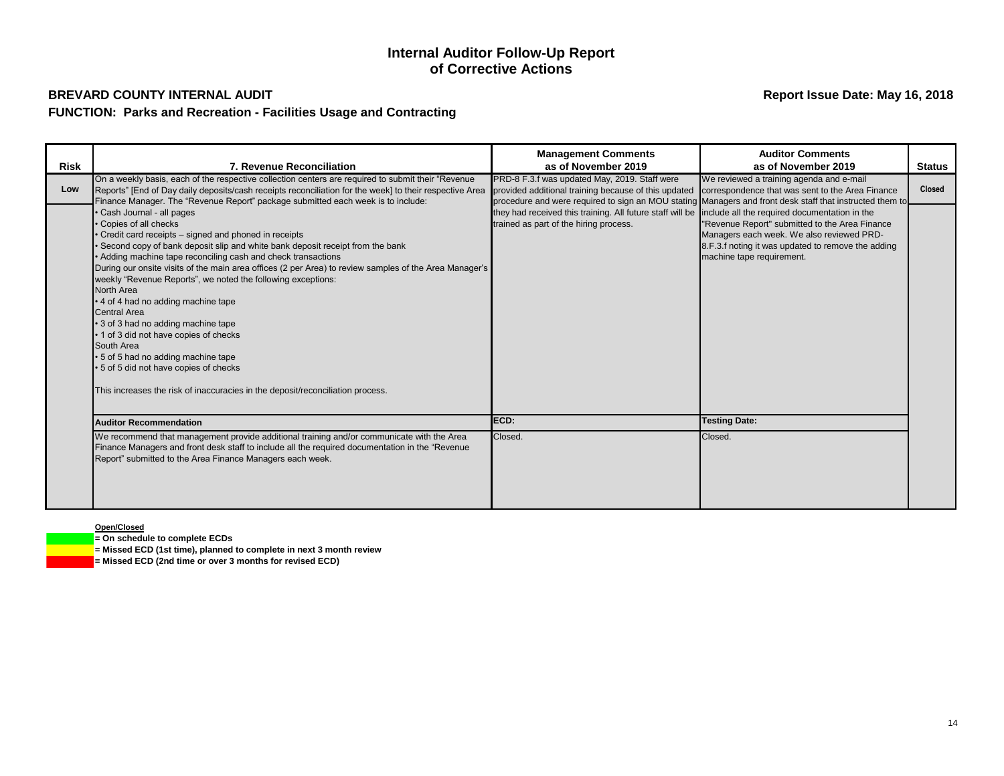## **FUNCTION: Parks and Recreation - Facilities Usage and Contracting**

## **Internal Auditor Follow-Up Report of Corrective Actions**

## **BREVARD COUNTY INTERNAL AUDIT Report Issue Date: May 16, 2018**

### **Open/Closed**

**= On schedule to complete ECDs**

**= Missed ECD (1st time), planned to complete in next 3 month review**

**= Missed ECD (2nd time or over 3 months for revised ECD)**

|                    |                                                                                                                                                                                                                                                                                                                                                                                                                                                                                                                                                                                                                                                                                                                                                                                                                                                                                                                                                                                                                               | <b>Management Comments</b>                                                                                                                                                                                                          | <b>Auditor Comments</b>                                                                                                                                                                                                                                                                                                                                                                                                                                            |                                |
|--------------------|-------------------------------------------------------------------------------------------------------------------------------------------------------------------------------------------------------------------------------------------------------------------------------------------------------------------------------------------------------------------------------------------------------------------------------------------------------------------------------------------------------------------------------------------------------------------------------------------------------------------------------------------------------------------------------------------------------------------------------------------------------------------------------------------------------------------------------------------------------------------------------------------------------------------------------------------------------------------------------------------------------------------------------|-------------------------------------------------------------------------------------------------------------------------------------------------------------------------------------------------------------------------------------|--------------------------------------------------------------------------------------------------------------------------------------------------------------------------------------------------------------------------------------------------------------------------------------------------------------------------------------------------------------------------------------------------------------------------------------------------------------------|--------------------------------|
| <b>Risk</b><br>Low | 7. Revenue Reconciliation<br>On a weekly basis, each of the respective collection centers are required to submit their "Revenue"<br>Reports" [End of Day daily deposits/cash receipts reconciliation for the week] to their respective Area<br>Finance Manager. The "Revenue Report" package submitted each week is to include:<br>Cash Journal - all pages<br>Copies of all checks<br>Credit card receipts - signed and phoned in receipts<br>Second copy of bank deposit slip and white bank deposit receipt from the bank<br>Adding machine tape reconciling cash and check transactions<br>During our onsite visits of the main area offices (2 per Area) to review samples of the Area Manager's<br>weekly "Revenue Reports", we noted the following exceptions:<br>North Area<br>• 4 of 4 had no adding machine tape<br><b>Central Area</b><br>• 3 of 3 had no adding machine tape<br>• 1 of 3 did not have copies of checks<br>South Area<br>5 of 5 had no adding machine tape<br>5 of 5 did not have copies of checks | as of November 2019<br>PRD-8 F.3.f was updated May, 2019. Staff were<br>provided additional training because of this updated<br>they had received this training. All future staff will be<br>trained as part of the hiring process. | as of November 2019<br>We reviewed a training agenda and e-mail<br>correspondence that was sent to the Area Finance<br>procedure and were required to sign an MOU stating Managers and front desk staff that instructed them to<br>include all the required documentation in the<br>"Revenue Report" submitted to the Area Finance<br>Managers each week. We also reviewed PRD-<br>8.F.3.f noting it was updated to remove the adding<br>machine tape requirement. | <b>Status</b><br><b>Closed</b> |
|                    | This increases the risk of inaccuracies in the deposit/reconciliation process.                                                                                                                                                                                                                                                                                                                                                                                                                                                                                                                                                                                                                                                                                                                                                                                                                                                                                                                                                |                                                                                                                                                                                                                                     |                                                                                                                                                                                                                                                                                                                                                                                                                                                                    |                                |
|                    | <b>Auditor Recommendation</b>                                                                                                                                                                                                                                                                                                                                                                                                                                                                                                                                                                                                                                                                                                                                                                                                                                                                                                                                                                                                 | ECD:                                                                                                                                                                                                                                | <b>Testing Date:</b>                                                                                                                                                                                                                                                                                                                                                                                                                                               |                                |
|                    | We recommend that management provide additional training and/or communicate with the Area<br>Finance Managers and front desk staff to include all the required documentation in the "Revenue<br>Report" submitted to the Area Finance Managers each week.                                                                                                                                                                                                                                                                                                                                                                                                                                                                                                                                                                                                                                                                                                                                                                     | Closed.                                                                                                                                                                                                                             | Closed.                                                                                                                                                                                                                                                                                                                                                                                                                                                            |                                |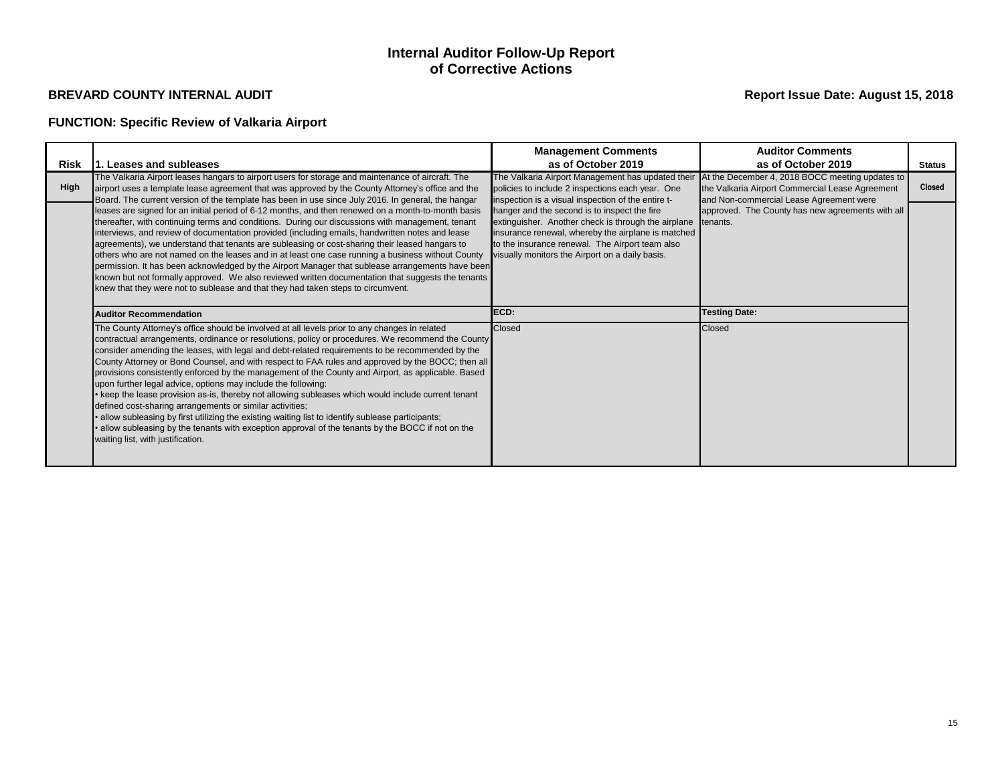# **FUNCTION: Specific Review of Valkaria Airport**

## **Internal Auditor Follow-Up Report of Corrective Actions**

|             |                                                                                                                                                                                                                                                                                                                                                                                                                                                                                                                                                                                                                                                                                                                                                                                                                                                                                                                                                                                                   | <b>Management Comments</b>                                                                                                                                                                                                                                      | <b>Auditor Comments</b>                                                                                                                       |               |
|-------------|---------------------------------------------------------------------------------------------------------------------------------------------------------------------------------------------------------------------------------------------------------------------------------------------------------------------------------------------------------------------------------------------------------------------------------------------------------------------------------------------------------------------------------------------------------------------------------------------------------------------------------------------------------------------------------------------------------------------------------------------------------------------------------------------------------------------------------------------------------------------------------------------------------------------------------------------------------------------------------------------------|-----------------------------------------------------------------------------------------------------------------------------------------------------------------------------------------------------------------------------------------------------------------|-----------------------------------------------------------------------------------------------------------------------------------------------|---------------|
| <b>Risk</b> | 1. Leases and subleases                                                                                                                                                                                                                                                                                                                                                                                                                                                                                                                                                                                                                                                                                                                                                                                                                                                                                                                                                                           | as of October 2019                                                                                                                                                                                                                                              | as of October 2019                                                                                                                            | <b>Status</b> |
| <b>High</b> | The Valkaria Airport leases hangars to airport users for storage and maintenance of aircraft. The<br>airport uses a template lease agreement that was approved by the County Attorney's office and the<br>Board. The current version of the template has been in use since July 2016. In general, the hangar                                                                                                                                                                                                                                                                                                                                                                                                                                                                                                                                                                                                                                                                                      | The Valkaria Airport Management has updated their<br>policies to include 2 inspections each year. One<br>inspection is a visual inspection of the entire t-                                                                                                     | At the December 4, 2018 BOCC meeting updates to<br>the Valkaria Airport Commercial Lease Agreement<br>and Non-commercial Lease Agreement were | <b>Closed</b> |
|             | leases are signed for an initial period of 6-12 months, and then renewed on a month-to-month basis<br>thereafter, with continuing terms and conditions. During our discussions with management, tenant<br>interviews, and review of documentation provided (including emails, handwritten notes and lease<br>agreements), we understand that tenants are subleasing or cost-sharing their leased hangars to<br>others who are not named on the leases and in at least one case running a business without County<br>permission. It has been acknowledged by the Airport Manager that sublease arrangements have been<br>known but not formally approved. We also reviewed written documentation that suggests the tenants<br>knew that they were not to sublease and that they had taken steps to circumvent.                                                                                                                                                                                     | hanger and the second is to inspect the fire<br>extinguisher. Another check is through the airplane<br>insurance renewal, whereby the airplane is matched<br>to the insurance renewal. The Airport team also<br>visually monitors the Airport on a daily basis. | approved. The County has new agreements with all<br>tenants.                                                                                  |               |
|             | <b>Auditor Recommendation</b>                                                                                                                                                                                                                                                                                                                                                                                                                                                                                                                                                                                                                                                                                                                                                                                                                                                                                                                                                                     | ECD:                                                                                                                                                                                                                                                            | <b>Testing Date:</b>                                                                                                                          |               |
|             | The County Attorney's office should be involved at all levels prior to any changes in related<br>contractual arrangements, ordinance or resolutions, policy or procedures. We recommend the County<br>consider amending the leases, with legal and debt-related requirements to be recommended by the<br>County Attorney or Bond Counsel, and with respect to FAA rules and approved by the BOCC; then all<br>provisions consistently enforced by the management of the County and Airport, as applicable. Based<br>upon further legal advice, options may include the following:<br>• keep the lease provision as-is, thereby not allowing subleases which would include current tenant<br>defined cost-sharing arrangements or similar activities;<br>allow subleasing by first utilizing the existing waiting list to identify sublease participants;<br>allow subleasing by the tenants with exception approval of the tenants by the BOCC if not on the<br>waiting list, with justification. | <b>Closed</b>                                                                                                                                                                                                                                                   | <b>Closed</b>                                                                                                                                 |               |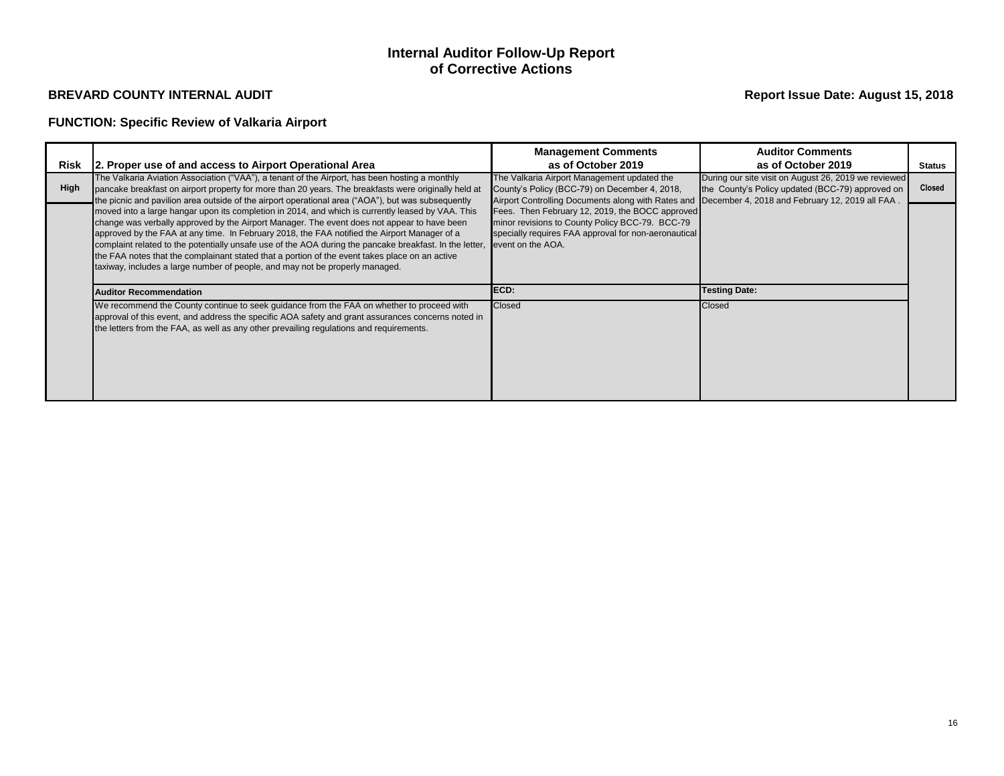# **FUNCTION: Specific Review of Valkaria Airport**

## **Internal Auditor Follow-Up Report of Corrective Actions**

| Risk | 2. Proper use of and access to Airport Operational Area                                                                                                                                                                                                                                                                                                                                                                                                                                                                                                                                       | <b>Management Comments</b><br>as of October 2019                                                                                                                                                   | <b>Auditor Comments</b><br>as of October 2019                                                            | Status        |
|------|-----------------------------------------------------------------------------------------------------------------------------------------------------------------------------------------------------------------------------------------------------------------------------------------------------------------------------------------------------------------------------------------------------------------------------------------------------------------------------------------------------------------------------------------------------------------------------------------------|----------------------------------------------------------------------------------------------------------------------------------------------------------------------------------------------------|----------------------------------------------------------------------------------------------------------|---------------|
| High | The Valkaria Aviation Association ("VAA"), a tenant of the Airport, has been hosting a monthly<br>pancake breakfast on airport property for more than 20 years. The breakfasts were originally held at<br>the picnic and pavilion area outside of the airport operational area ("AOA"), but was subsequently                                                                                                                                                                                                                                                                                  | The Valkaria Airport Management updated the<br>County's Policy (BCC-79) on December 4, 2018,<br>Airport Controlling Documents along with Rates and December 4, 2018 and February 12, 2019 all FAA. | During our site visit on August 26, 2019 we reviewed<br>the County's Policy updated (BCC-79) approved on | <b>Closed</b> |
|      | moved into a large hangar upon its completion in 2014, and which is currently leased by VAA. This<br>change was verbally approved by the Airport Manager. The event does not appear to have been<br>approved by the FAA at any time. In February 2018, the FAA notified the Airport Manager of a<br>complaint related to the potentially unsafe use of the AOA during the pancake breakfast. In the letter,<br>the FAA notes that the complainant stated that a portion of the event takes place on an active<br>taxiway, includes a large number of people, and may not be properly managed. | Fees. Then February 12, 2019, the BOCC approved<br>minor revisions to County Policy BCC-79. BCC-79<br>specially requires FAA approval for non-aeronautical<br>event on the AOA.                    |                                                                                                          |               |
|      | <b>Auditor Recommendation</b>                                                                                                                                                                                                                                                                                                                                                                                                                                                                                                                                                                 | ECD:                                                                                                                                                                                               | <b>Testing Date:</b>                                                                                     |               |
|      | We recommend the County continue to seek guidance from the FAA on whether to proceed with<br>approval of this event, and address the specific AOA safety and grant assurances concerns noted in<br>the letters from the FAA, as well as any other prevailing regulations and requirements.                                                                                                                                                                                                                                                                                                    | Closed                                                                                                                                                                                             | Closed                                                                                                   |               |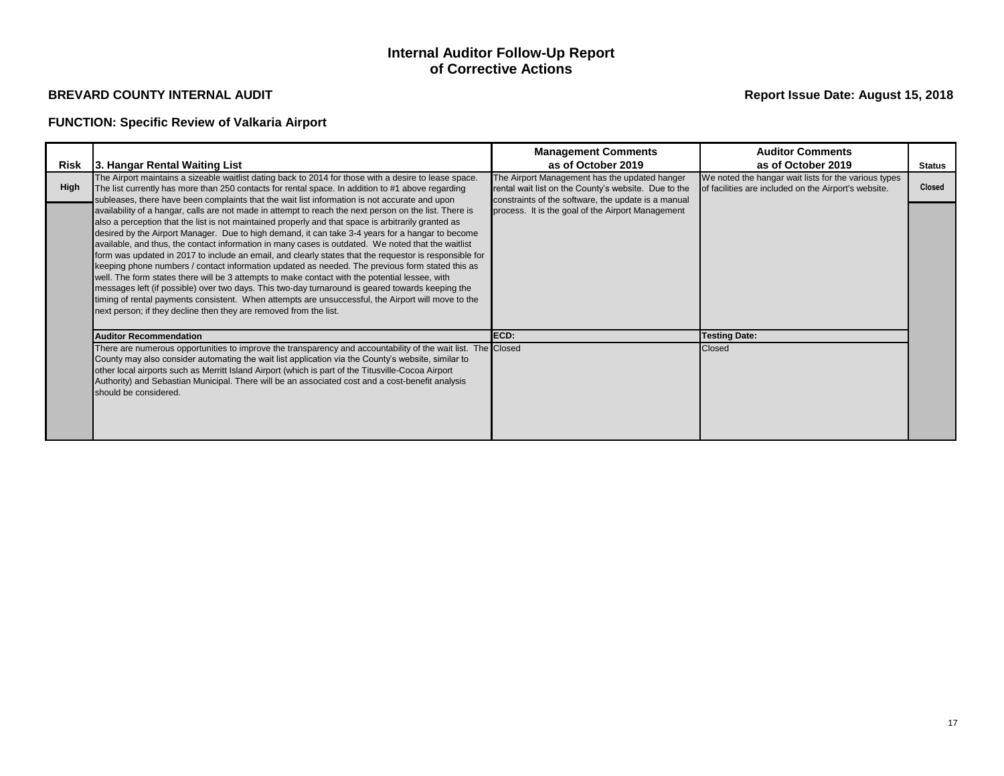# **FUNCTION: Specific Review of Valkaria Airport**

## **Internal Auditor Follow-Up Report of Corrective Actions**

|             |                                                                                                                                                                                                                                                                                                                                                                                                                                                                                                                                                                                                                                                                                                                                                                                                                                                                                                                                                                                                                       | <b>Management Comments</b>                                                                                                                                   | <b>Auditor Comments</b>                                                                                      |               |
|-------------|-----------------------------------------------------------------------------------------------------------------------------------------------------------------------------------------------------------------------------------------------------------------------------------------------------------------------------------------------------------------------------------------------------------------------------------------------------------------------------------------------------------------------------------------------------------------------------------------------------------------------------------------------------------------------------------------------------------------------------------------------------------------------------------------------------------------------------------------------------------------------------------------------------------------------------------------------------------------------------------------------------------------------|--------------------------------------------------------------------------------------------------------------------------------------------------------------|--------------------------------------------------------------------------------------------------------------|---------------|
|             | Risk 3. Hangar Rental Waiting List                                                                                                                                                                                                                                                                                                                                                                                                                                                                                                                                                                                                                                                                                                                                                                                                                                                                                                                                                                                    | as of October 2019                                                                                                                                           | as of October 2019                                                                                           | <b>Status</b> |
| <b>High</b> | The Airport maintains a sizeable waitlist dating back to 2014 for those with a desire to lease space.<br>The list currently has more than 250 contacts for rental space. In addition to #1 above regarding<br>subleases, there have been complaints that the wait list information is not accurate and upon                                                                                                                                                                                                                                                                                                                                                                                                                                                                                                                                                                                                                                                                                                           | The Airport Management has the updated hanger<br>rental wait list on the County's website. Due to the<br>constraints of the software, the update is a manual | We noted the hangar wait lists for the various types<br>of facilities are included on the Airport's website. | <b>Closed</b> |
|             | availability of a hangar, calls are not made in attempt to reach the next person on the list. There is<br>also a perception that the list is not maintained properly and that space is arbitrarily granted as<br>desired by the Airport Manager. Due to high demand, it can take 3-4 years for a hangar to become<br>available, and thus, the contact information in many cases is outdated. We noted that the waitlist<br>form was updated in 2017 to include an email, and clearly states that the requestor is responsible for<br>keeping phone numbers / contact information updated as needed. The previous form stated this as<br>well. The form states there will be 3 attempts to make contact with the potential lessee, with<br>messages left (if possible) over two days. This two-day turnaround is geared towards keeping the<br>timing of rental payments consistent. When attempts are unsuccessful, the Airport will move to the<br>next person; if they decline then they are removed from the list. | process. It is the goal of the Airport Management                                                                                                            |                                                                                                              |               |
|             | <b>Auditor Recommendation</b>                                                                                                                                                                                                                                                                                                                                                                                                                                                                                                                                                                                                                                                                                                                                                                                                                                                                                                                                                                                         | ECD:                                                                                                                                                         | <b>Testing Date:</b>                                                                                         |               |
|             | There are numerous opportunities to improve the transparency and accountability of the wait list. The Closed<br>County may also consider automating the wait list application via the County's website, similar to<br>other local airports such as Merritt Island Airport (which is part of the Titusville-Cocoa Airport<br>Authority) and Sebastian Municipal. There will be an associated cost and a cost-benefit analysis<br>should be considered.                                                                                                                                                                                                                                                                                                                                                                                                                                                                                                                                                                 |                                                                                                                                                              | Closed                                                                                                       |               |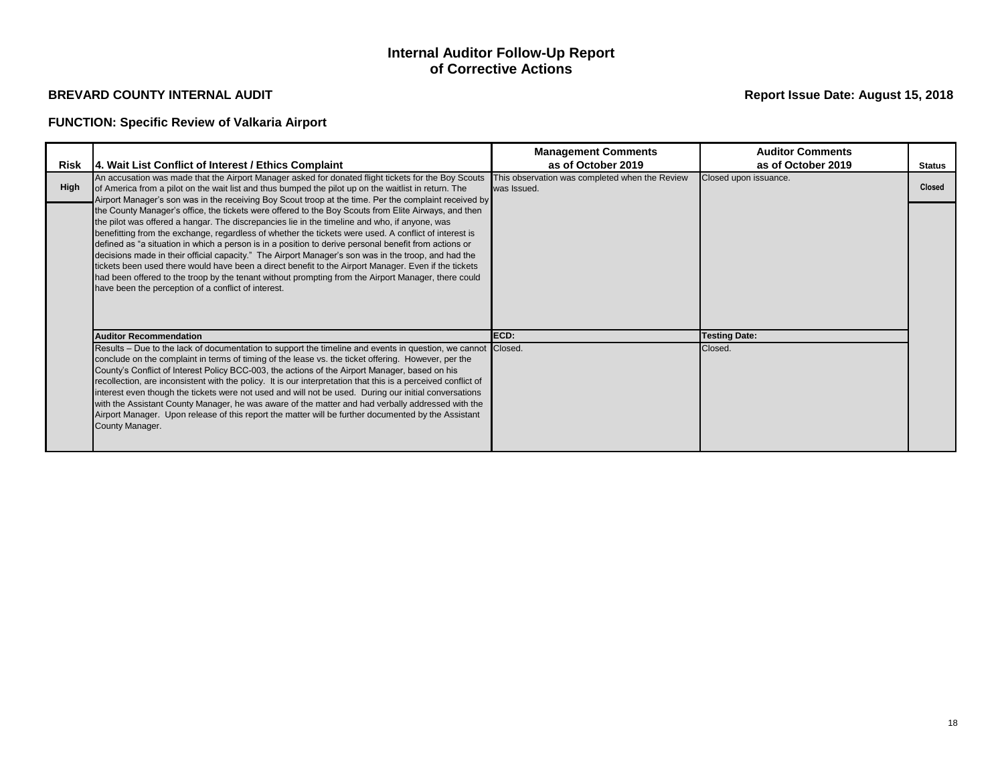# **FUNCTION: Specific Review of Valkaria Airport**

## **Internal Auditor Follow-Up Report of Corrective Actions**

|             |                                                                                                                                                                                                                                                                                                                                                                                                                                                                                                                                                                                                                                                                                                                                                                                                      | <b>Management Comments</b>                                    | <b>Auditor Comments</b> |               |
|-------------|------------------------------------------------------------------------------------------------------------------------------------------------------------------------------------------------------------------------------------------------------------------------------------------------------------------------------------------------------------------------------------------------------------------------------------------------------------------------------------------------------------------------------------------------------------------------------------------------------------------------------------------------------------------------------------------------------------------------------------------------------------------------------------------------------|---------------------------------------------------------------|-------------------------|---------------|
|             | Risk  4. Wait List Conflict of Interest / Ethics Complaint                                                                                                                                                                                                                                                                                                                                                                                                                                                                                                                                                                                                                                                                                                                                           | as of October 2019                                            | as of October 2019      | <b>Status</b> |
| <b>High</b> | An accusation was made that the Airport Manager asked for donated flight tickets for the Boy Scouts<br>of America from a pilot on the wait list and thus bumped the pilot up on the waitlist in return. The<br>Airport Manager's son was in the receiving Boy Scout troop at the time. Per the complaint received by                                                                                                                                                                                                                                                                                                                                                                                                                                                                                 | This observation was completed when the Review<br>was Issued. | Closed upon issuance.   | <b>Closed</b> |
|             | the County Manager's office, the tickets were offered to the Boy Scouts from Elite Airways, and then<br>the pilot was offered a hangar. The discrepancies lie in the timeline and who, if anyone, was<br>benefitting from the exchange, regardless of whether the tickets were used. A conflict of interest is<br>defined as "a situation in which a person is in a position to derive personal benefit from actions or<br>decisions made in their official capacity." The Airport Manager's son was in the troop, and had the<br>tickets been used there would have been a direct benefit to the Airport Manager. Even if the tickets<br>had been offered to the troop by the tenant without prompting from the Airport Manager, there could<br>have been the perception of a conflict of interest. |                                                               |                         |               |
|             | <b>Auditor Recommendation</b>                                                                                                                                                                                                                                                                                                                                                                                                                                                                                                                                                                                                                                                                                                                                                                        | ECD:                                                          | <b>Testing Date:</b>    |               |
|             | Results – Due to the lack of documentation to support the timeline and events in question, we cannot Closed.<br>conclude on the complaint in terms of timing of the lease vs. the ticket offering. However, per the<br>County's Conflict of Interest Policy BCC-003, the actions of the Airport Manager, based on his<br>recollection, are inconsistent with the policy. It is our interpretation that this is a perceived conflict of<br>interest even though the tickets were not used and will not be used. During our initial conversations<br>with the Assistant County Manager, he was aware of the matter and had verbally addressed with the<br>Airport Manager. Upon release of this report the matter will be further documented by the Assistant<br>County Manager.                       |                                                               | Closed.                 |               |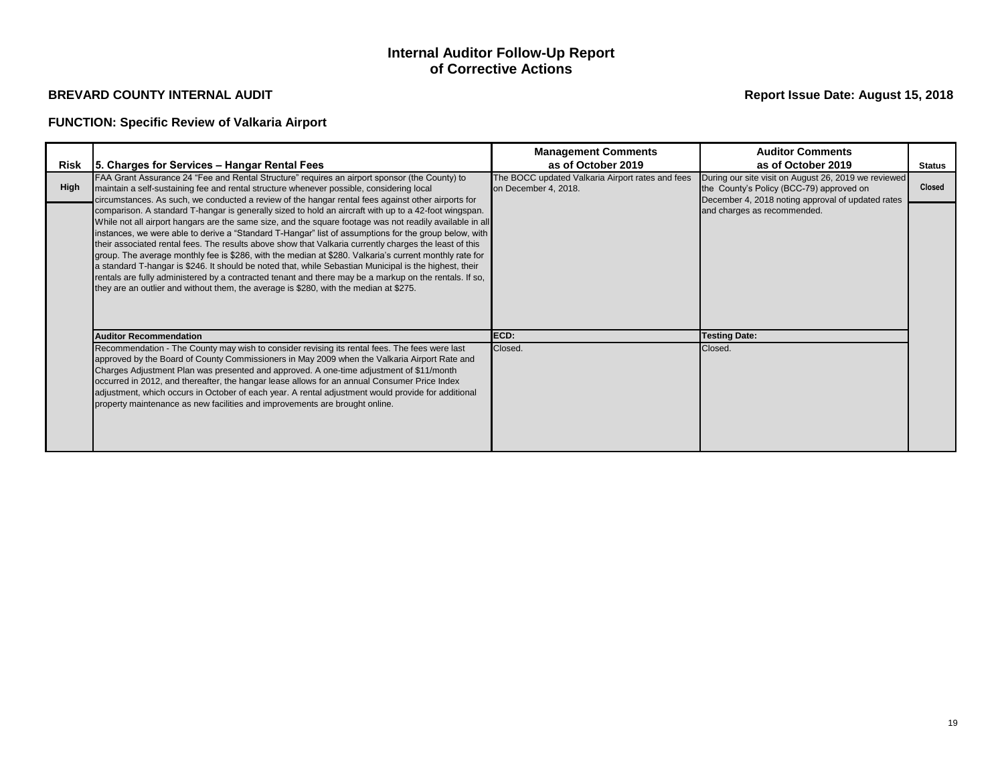# **FUNCTION: Specific Review of Valkaria Airport**

## **Internal Auditor Follow-Up Report of Corrective Actions**

|      |                                                                                                                                                                                                                                                                                                                                                                                                                                                                                                                                                                                                                                                                                                                                                                                                                                                             | <b>Management Comments</b>                                               | <b>Auditor Comments</b>                                                                                                                               |               |
|------|-------------------------------------------------------------------------------------------------------------------------------------------------------------------------------------------------------------------------------------------------------------------------------------------------------------------------------------------------------------------------------------------------------------------------------------------------------------------------------------------------------------------------------------------------------------------------------------------------------------------------------------------------------------------------------------------------------------------------------------------------------------------------------------------------------------------------------------------------------------|--------------------------------------------------------------------------|-------------------------------------------------------------------------------------------------------------------------------------------------------|---------------|
|      | Risk   5. Charges for Services – Hangar Rental Fees                                                                                                                                                                                                                                                                                                                                                                                                                                                                                                                                                                                                                                                                                                                                                                                                         | as of October 2019                                                       | as of October 2019                                                                                                                                    | <b>Status</b> |
| High | FAA Grant Assurance 24 "Fee and Rental Structure" requires an airport sponsor (the County) to<br>maintain a self-sustaining fee and rental structure whenever possible, considering local<br>circumstances. As such, we conducted a review of the hangar rental fees against other airports for                                                                                                                                                                                                                                                                                                                                                                                                                                                                                                                                                             | The BOCC updated Valkaria Airport rates and fees<br>on December 4, 2018. | During our site visit on August 26, 2019 we reviewed<br>the County's Policy (BCC-79) approved on<br>December 4, 2018 noting approval of updated rates | <b>Closed</b> |
|      | comparison. A standard T-hangar is generally sized to hold an aircraft with up to a 42-foot wingspan.<br>While not all airport hangars are the same size, and the square footage was not readily available in all<br>instances, we were able to derive a "Standard T-Hangar" list of assumptions for the group below, with<br>their associated rental fees. The results above show that Valkaria currently charges the least of this<br>group. The average monthly fee is \$286, with the median at \$280. Valkaria's current monthly rate for<br>a standard T-hangar is \$246. It should be noted that, while Sebastian Municipal is the highest, their<br>rentals are fully administered by a contracted tenant and there may be a markup on the rentals. If so,<br>they are an outlier and without them, the average is \$280, with the median at \$275. |                                                                          | and charges as recommended.                                                                                                                           |               |
|      | <b>Auditor Recommendation</b>                                                                                                                                                                                                                                                                                                                                                                                                                                                                                                                                                                                                                                                                                                                                                                                                                               | ECD:                                                                     | <b>Testing Date:</b>                                                                                                                                  |               |
|      | Recommendation - The County may wish to consider revising its rental fees. The fees were last<br>approved by the Board of County Commissioners in May 2009 when the Valkaria Airport Rate and<br>Charges Adjustment Plan was presented and approved. A one-time adjustment of \$11/month<br>occurred in 2012, and thereafter, the hangar lease allows for an annual Consumer Price Index<br>adjustment, which occurs in October of each year. A rental adjustment would provide for additional<br>property maintenance as new facilities and improvements are brought online.                                                                                                                                                                                                                                                                               | Closed.                                                                  | Closed.                                                                                                                                               |               |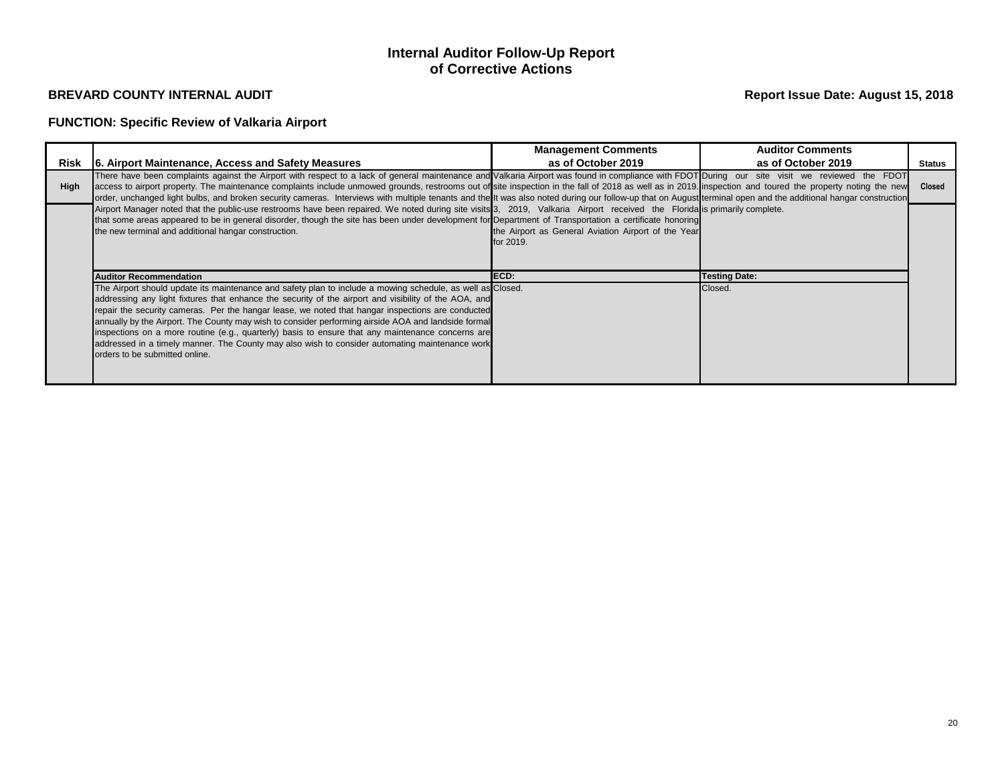# **FUNCTION: Specific Review of Valkaria Airport**

## **Internal Auditor Follow-Up Report of Corrective Actions**

|             |                                                                                                                                                                                                                                                                                                                                                                                                                                                                                                                                                                                                                                                                          | <b>Management Comments</b>                                       | <b>Auditor Comments</b> |               |
|-------------|--------------------------------------------------------------------------------------------------------------------------------------------------------------------------------------------------------------------------------------------------------------------------------------------------------------------------------------------------------------------------------------------------------------------------------------------------------------------------------------------------------------------------------------------------------------------------------------------------------------------------------------------------------------------------|------------------------------------------------------------------|-------------------------|---------------|
| Risk        | 6. Airport Maintenance, Access and Safety Measures                                                                                                                                                                                                                                                                                                                                                                                                                                                                                                                                                                                                                       | as of October 2019                                               | as of October 2019      | <b>Status</b> |
| <b>High</b> | There have been complaints against the Airport with respect to a lack of general maintenance and Valkaria Airport was found in compliance with FDOT During our site visit we reviewed the FDOT<br>access to airport property. The maintenance complaints include unmowed grounds, restrooms out of site inspection in the fall of 2018 as well as in 2019. Inspection and toured the property noting the new<br>order, unchanged light bulbs, and broken security cameras. Interviews with multiple tenants and the It was also noted during our follow-up that on August terminal open and the additional hangar construction                                           |                                                                  |                         | <b>Closed</b> |
|             | Airport Manager noted that the public-use restrooms have been repaired. We noted during site visits 3, 2019, Valkaria Airport received the Florida is primarily complete.<br>that some areas appeared to be in general disorder, though the site has been under development for Department of Transportation a certificate honoring<br>the new terminal and additional hangar construction.                                                                                                                                                                                                                                                                              | the Airport as General Aviation Airport of the Year<br>for 2019. |                         |               |
|             | <b>Auditor Recommendation</b>                                                                                                                                                                                                                                                                                                                                                                                                                                                                                                                                                                                                                                            | ECD:                                                             | <b>Testing Date:</b>    |               |
|             | The Airport should update its maintenance and safety plan to include a mowing schedule, as well as Closed.<br>addressing any light fixtures that enhance the security of the airport and visibility of the AOA, and<br>repair the security cameras. Per the hangar lease, we noted that hangar inspections are conducted<br>annually by the Airport. The County may wish to consider performing airside AOA and landside formal<br>inspections on a more routine (e.g., quarterly) basis to ensure that any maintenance concerns are<br>addressed in a timely manner. The County may also wish to consider automating maintenance work<br>orders to be submitted online. |                                                                  | Closed.                 |               |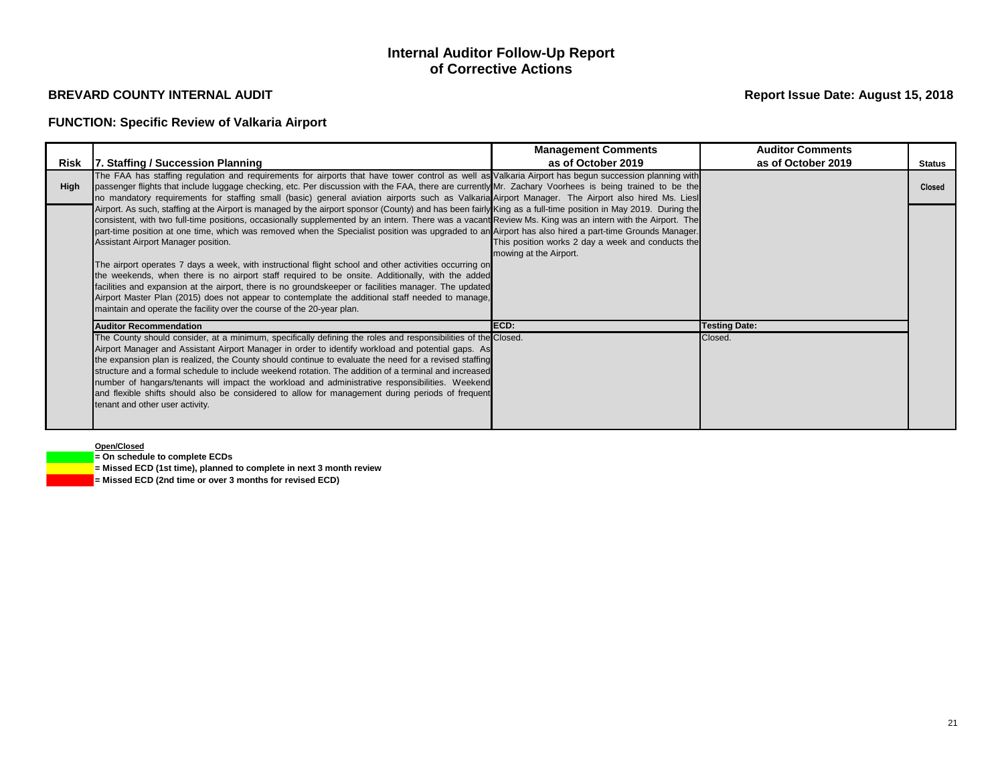## **FUNCTION: Specific Review of Valkaria Airport**

## **Internal Auditor Follow-Up Report of Corrective Actions**

## **Report Issue Date: August 15, 2018**

### **Open/Closed**

**= On schedule to complete ECDs**

**= Missed ECD (1st time), planned to complete in next 3 month review**

**= Missed ECD (2nd time or over 3 months for revised ECD)**

|      |                                                                                                                                                                                                                                                                                                                                                                                                                                                                                                                                                                                                                                                                                                                                                                                                                                                                                                                                                                                                                                | <b>Management Comments</b>                                                  | <b>Auditor Comments</b>         |               |
|------|--------------------------------------------------------------------------------------------------------------------------------------------------------------------------------------------------------------------------------------------------------------------------------------------------------------------------------------------------------------------------------------------------------------------------------------------------------------------------------------------------------------------------------------------------------------------------------------------------------------------------------------------------------------------------------------------------------------------------------------------------------------------------------------------------------------------------------------------------------------------------------------------------------------------------------------------------------------------------------------------------------------------------------|-----------------------------------------------------------------------------|---------------------------------|---------------|
| Risk | 7. Staffing / Succession Planning                                                                                                                                                                                                                                                                                                                                                                                                                                                                                                                                                                                                                                                                                                                                                                                                                                                                                                                                                                                              | as of October 2019                                                          | as of October 2019              | <b>Status</b> |
| Hiah | The FAA has staffing regulation and requirements for airports that have tower control as well as Valkaria Airport has begun succession planning with<br>passenger flights that include luggage checking, etc. Per discussion with the FAA, there are currently Mr. Zachary Voorhees is being trained to be the<br>no mandatory requirements for staffing small (basic) general aviation airports such as Valkaria Airport Manager. The Airport also hired Ms. Liesl                                                                                                                                                                                                                                                                                                                                                                                                                                                                                                                                                            |                                                                             |                                 | <b>Closed</b> |
|      | Airport. As such, staffing at the Airport is managed by the airport sponsor (County) and has been fairly King as a full-time position in May 2019. During the<br>consistent, with two full-time positions, occasionally supplemented by an intern. There was a vacant Review Ms. King was an intern with the Airport. The<br>part-time position at one time, which was removed when the Specialist position was upgraded to an Airport has also hired a part-time Grounds Manager.<br>Assistant Airport Manager position.<br>The airport operates 7 days a week, with instructional flight school and other activities occurring on<br>the weekends, when there is no airport staff required to be onsite. Additionally, with the added<br>facilities and expansion at the airport, there is no groundskeeper or facilities manager. The updated<br>Airport Master Plan (2015) does not appear to contemplate the additional staff needed to manage,<br>maintain and operate the facility over the course of the 20-year plan. | This position works 2 day a week and conducts the<br>mowing at the Airport. |                                 |               |
|      | <b>Auditor Recommendation</b><br>The County should consider, at a minimum, specifically defining the roles and responsibilities of the Closed.<br>Airport Manager and Assistant Airport Manager in order to identify workload and potential gaps. As<br>the expansion plan is realized, the County should continue to evaluate the need for a revised staffing<br>structure and a formal schedule to include weekend rotation. The addition of a terminal and increased<br>number of hangars/tenants will impact the workload and administrative responsibilities. Weekend<br>and flexible shifts should also be considered to allow for management during periods of frequent<br>tenant and other user activity.                                                                                                                                                                                                                                                                                                              | ECD:                                                                        | <b>Testing Date:</b><br>Closed. |               |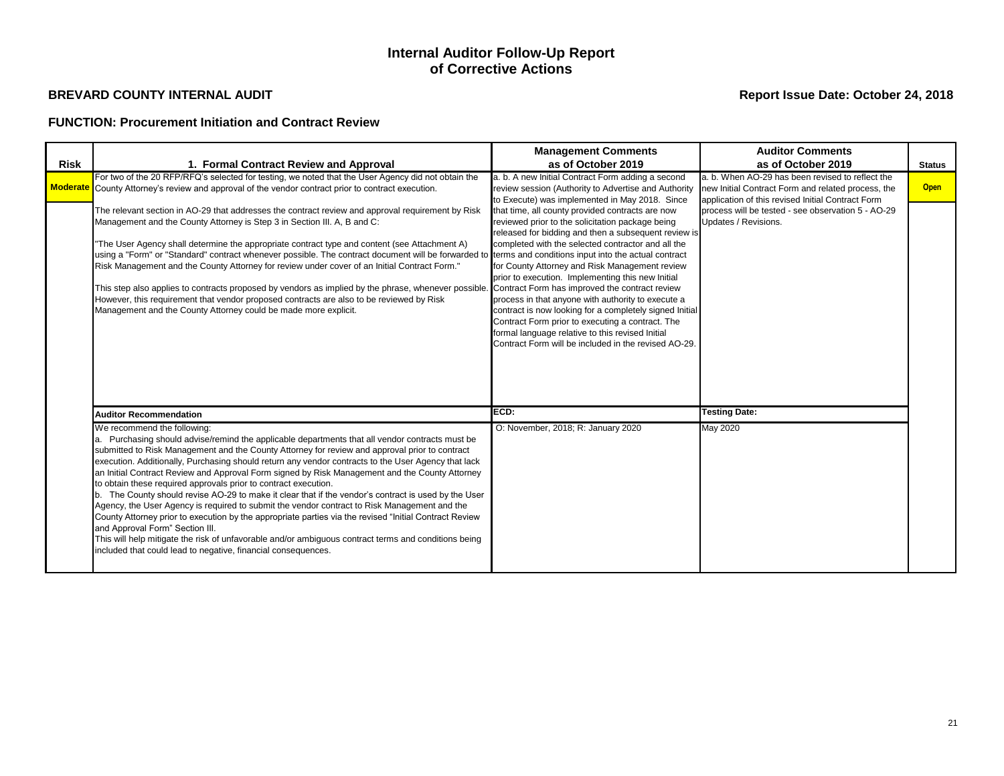## **FUNCTION: Procurement Initiation and Contract Review**

## **Internal Auditor Follow-Up Report of Corrective Actions**

|                 |                                                                                                                                                                                                                                                                                                                                                                                                                                                                                                                                                                                                                                                                                                                                                                                                                                                                                                                                                                                                                                            | <b>Management Comments</b>                                                                                                                                                                                                                                                                                                                                                                                                                                                                                                                                                                                                                                   | <b>Auditor Comments</b>                                                                                                                                     |               |
|-----------------|--------------------------------------------------------------------------------------------------------------------------------------------------------------------------------------------------------------------------------------------------------------------------------------------------------------------------------------------------------------------------------------------------------------------------------------------------------------------------------------------------------------------------------------------------------------------------------------------------------------------------------------------------------------------------------------------------------------------------------------------------------------------------------------------------------------------------------------------------------------------------------------------------------------------------------------------------------------------------------------------------------------------------------------------|--------------------------------------------------------------------------------------------------------------------------------------------------------------------------------------------------------------------------------------------------------------------------------------------------------------------------------------------------------------------------------------------------------------------------------------------------------------------------------------------------------------------------------------------------------------------------------------------------------------------------------------------------------------|-------------------------------------------------------------------------------------------------------------------------------------------------------------|---------------|
| <b>Risk</b>     | 1. Formal Contract Review and Approval                                                                                                                                                                                                                                                                                                                                                                                                                                                                                                                                                                                                                                                                                                                                                                                                                                                                                                                                                                                                     | as of October 2019                                                                                                                                                                                                                                                                                                                                                                                                                                                                                                                                                                                                                                           | as of October 2019                                                                                                                                          | <b>Status</b> |
| <b>Moderate</b> | For two of the 20 RFP/RFQ's selected for testing, we noted that the User Agency did not obtain the<br>County Attorney's review and approval of the vendor contract prior to contract execution.                                                                                                                                                                                                                                                                                                                                                                                                                                                                                                                                                                                                                                                                                                                                                                                                                                            | a. b. A new Initial Contract Form adding a second<br>review session (Authority to Advertise and Authority<br>to Execute) was implemented in May 2018. Since                                                                                                                                                                                                                                                                                                                                                                                                                                                                                                  | a. b. When AO-29 has been revised to reflect the<br>new Initial Contract Form and related process, the<br>application of this revised Initial Contract Form | <b>Open</b>   |
|                 | The relevant section in AO-29 that addresses the contract review and approval requirement by Risk<br>Management and the County Attorney is Step 3 in Section III. A, B and C:<br>The User Agency shall determine the appropriate contract type and content (see Attachment A)<br>using a "Form" or "Standard" contract whenever possible. The contract document will be forwarded to terms and conditions input into the actual contract<br>Risk Management and the County Attorney for review under cover of an Initial Contract Form."<br>This step also applies to contracts proposed by vendors as implied by the phrase, whenever possible.<br>However, this requirement that vendor proposed contracts are also to be reviewed by Risk<br>Management and the County Attorney could be made more explicit.                                                                                                                                                                                                                            | that time, all county provided contracts are now<br>reviewed prior to the solicitation package being<br>released for bidding and then a subsequent review is<br>completed with the selected contractor and all the<br>for County Attorney and Risk Management review<br>prior to execution. Implementing this new Initial<br>Contract Form has improved the contract review<br>process in that anyone with authority to execute a<br>contract is now looking for a completely signed Initial<br>Contract Form prior to executing a contract. The<br>formal language relative to this revised Initial<br>Contract Form will be included in the revised AO-29. | process will be tested - see observation 5 - AO-29<br>Updates / Revisions.                                                                                  |               |
|                 | <b>Auditor Recommendation</b>                                                                                                                                                                                                                                                                                                                                                                                                                                                                                                                                                                                                                                                                                                                                                                                                                                                                                                                                                                                                              | ECD:                                                                                                                                                                                                                                                                                                                                                                                                                                                                                                                                                                                                                                                         | <b>Testing Date:</b>                                                                                                                                        |               |
|                 | We recommend the following:<br>a. Purchasing should advise/remind the applicable departments that all vendor contracts must be<br>submitted to Risk Management and the County Attorney for review and approval prior to contract<br>execution. Additionally, Purchasing should return any vendor contracts to the User Agency that lack<br>an Initial Contract Review and Approval Form signed by Risk Management and the County Attorney<br>to obtain these required approvals prior to contract execution.<br>b. The County should revise AO-29 to make it clear that if the vendor's contract is used by the User<br>Agency, the User Agency is required to submit the vendor contract to Risk Management and the<br>County Attorney prior to execution by the appropriate parties via the revised "Initial Contract Review<br>and Approval Form" Section III.<br>This will help mitigate the risk of unfavorable and/or ambiguous contract terms and conditions being<br>included that could lead to negative, financial consequences. | O: November, 2018; R: January 2020                                                                                                                                                                                                                                                                                                                                                                                                                                                                                                                                                                                                                           | <b>May 2020</b>                                                                                                                                             |               |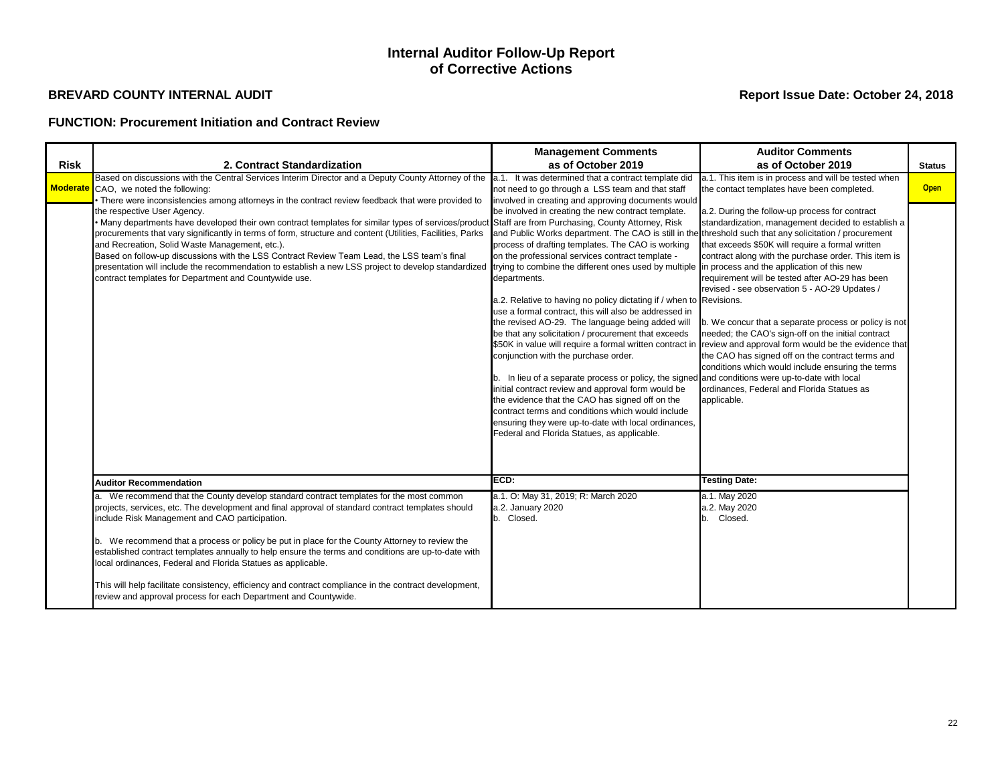## **FUNCTION: Procurement Initiation and Contract Review**

## **Internal Auditor Follow-Up Report of Corrective Actions**

|             |                                                                                                                                                                                                                                                                                                                                                                                                                                                                                                                                                                                                                                                                                                                                                                                                                                                                                                                           | <b>Management Comments</b>                                                                                                                                                                                                                                                                                                                                                                                                                                                                                                                                                                                                                                                                                                                                                                                                                                                                                                                                                                                                                                                                                                                                                        | <b>Auditor Comments</b>                                                                                                                                                                                                                                                                                                                                                                                                                                                                                                                                                                                                                                                                                                                                                                                              |               |
|-------------|---------------------------------------------------------------------------------------------------------------------------------------------------------------------------------------------------------------------------------------------------------------------------------------------------------------------------------------------------------------------------------------------------------------------------------------------------------------------------------------------------------------------------------------------------------------------------------------------------------------------------------------------------------------------------------------------------------------------------------------------------------------------------------------------------------------------------------------------------------------------------------------------------------------------------|-----------------------------------------------------------------------------------------------------------------------------------------------------------------------------------------------------------------------------------------------------------------------------------------------------------------------------------------------------------------------------------------------------------------------------------------------------------------------------------------------------------------------------------------------------------------------------------------------------------------------------------------------------------------------------------------------------------------------------------------------------------------------------------------------------------------------------------------------------------------------------------------------------------------------------------------------------------------------------------------------------------------------------------------------------------------------------------------------------------------------------------------------------------------------------------|----------------------------------------------------------------------------------------------------------------------------------------------------------------------------------------------------------------------------------------------------------------------------------------------------------------------------------------------------------------------------------------------------------------------------------------------------------------------------------------------------------------------------------------------------------------------------------------------------------------------------------------------------------------------------------------------------------------------------------------------------------------------------------------------------------------------|---------------|
| <b>Risk</b> | 2. Contract Standardization                                                                                                                                                                                                                                                                                                                                                                                                                                                                                                                                                                                                                                                                                                                                                                                                                                                                                               | as of October 2019                                                                                                                                                                                                                                                                                                                                                                                                                                                                                                                                                                                                                                                                                                                                                                                                                                                                                                                                                                                                                                                                                                                                                                | as of October 2019                                                                                                                                                                                                                                                                                                                                                                                                                                                                                                                                                                                                                                                                                                                                                                                                   | <b>Status</b> |
|             | Based on discussions with the Central Services Interim Director and a Deputy County Attorney of the a.1. It was determined that a contract template did<br>Moderate CAO, we noted the following:<br>There were inconsistencies among attorneys in the contract review feedback that were provided to<br>the respective User Agency.<br>Many departments have developed their own contract templates for similar types of services/product Staff are from Purchasing, County Attorney, Risk<br>procurements that vary significantly in terms of form, structure and content (Utilities, Facilities, Parks<br>and Recreation, Solid Waste Management, etc.).<br>Based on follow-up discussions with the LSS Contract Review Team Lead, the LSS team's final<br>presentation will include the recommendation to establish a new LSS project to develop standardized<br>contract templates for Department and Countywide use. | not need to go through a LSS team and that staff<br>involved in creating and approving documents would<br>be involved in creating the new contract template.<br>and Public Works department. The CAO is still in the threshold such that any solicitation / procurement<br>process of drafting templates. The CAO is working<br>on the professional services contract template -<br>trying to combine the different ones used by multiple<br>departments.<br>a.2. Relative to having no policy dictating if / when to Revisions.<br>use a formal contract, this will also be addressed in<br>the revised AO-29. The language being added will<br>be that any solicitation / procurement that exceeds<br>\$50K in value will require a formal written contract in<br>conjunction with the purchase order.<br>b. In lieu of a separate process or policy, the signed and conditions were up-to-date with local<br>initial contract review and approval form would be<br>the evidence that the CAO has signed off on the<br>contract terms and conditions which would include<br>ensuring they were up-to-date with local ordinances,<br>Federal and Florida Statues, as applicable. | a.1. This item is in process and will be tested when<br>the contact templates have been completed.<br>a.2. During the follow-up process for contract<br>standardization, management decided to establish a<br>that exceeds \$50K will require a formal written<br>contract along with the purchase order. This item is<br>in process and the application of this new<br>requirement will be tested after AO-29 has been<br>revised - see observation 5 - AO-29 Updates /<br>b. We concur that a separate process or policy is not<br>needed; the CAO's sign-off on the initial contract<br>review and approval form would be the evidence that<br>the CAO has signed off on the contract terms and<br>conditions which would include ensuring the terms<br>ordinances, Federal and Florida Statues as<br>applicable. | <b>Open</b>   |
|             | <b>Auditor Recommendation</b>                                                                                                                                                                                                                                                                                                                                                                                                                                                                                                                                                                                                                                                                                                                                                                                                                                                                                             | ECD:                                                                                                                                                                                                                                                                                                                                                                                                                                                                                                                                                                                                                                                                                                                                                                                                                                                                                                                                                                                                                                                                                                                                                                              | <b>Testing Date:</b>                                                                                                                                                                                                                                                                                                                                                                                                                                                                                                                                                                                                                                                                                                                                                                                                 |               |
|             | a. We recommend that the County develop standard contract templates for the most common<br>projects, services, etc. The development and final approval of standard contract templates should<br>include Risk Management and CAO participation.<br>b. We recommend that a process or policy be put in place for the County Attorney to review the<br>established contract templates annually to help ensure the terms and conditions are up-to-date with<br>local ordinances, Federal and Florida Statues as applicable.<br>This will help facilitate consistency, efficiency and contract compliance in the contract development,<br>review and approval process for each Department and Countywide.                                                                                                                                                                                                                      | a.1. O: May 31, 2019; R: March 2020<br>a.2. January 2020<br>b. Closed.                                                                                                                                                                                                                                                                                                                                                                                                                                                                                                                                                                                                                                                                                                                                                                                                                                                                                                                                                                                                                                                                                                            | a.1. May 2020<br>a.2. May 2020<br>b. Closed.                                                                                                                                                                                                                                                                                                                                                                                                                                                                                                                                                                                                                                                                                                                                                                         |               |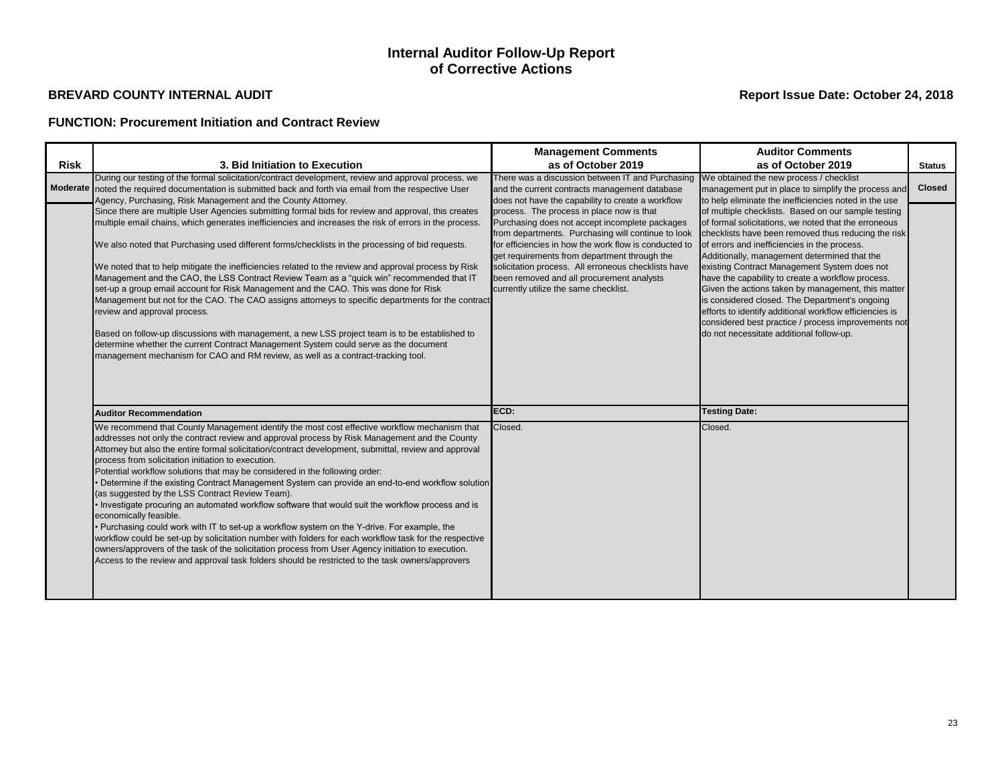## **FUNCTION: Procurement Initiation and Contract Review**

## **Internal Auditor Follow-Up Report of Corrective Actions**

|             |                                                                                                                                                                                                                                                                                                                                                                                                                                                                                                                                                                                                                                                                                                                                                                                                                                                                                                                                                                                                                                                                                                                                                          | <b>Management Comments</b>                                                                                                                                                                                                                                                                                                                                                                              | <b>Auditor Comments</b>                                                                                                                                                                                                                                                                                                                                                                                                                                                                                                                                                                                                                       |               |
|-------------|----------------------------------------------------------------------------------------------------------------------------------------------------------------------------------------------------------------------------------------------------------------------------------------------------------------------------------------------------------------------------------------------------------------------------------------------------------------------------------------------------------------------------------------------------------------------------------------------------------------------------------------------------------------------------------------------------------------------------------------------------------------------------------------------------------------------------------------------------------------------------------------------------------------------------------------------------------------------------------------------------------------------------------------------------------------------------------------------------------------------------------------------------------|---------------------------------------------------------------------------------------------------------------------------------------------------------------------------------------------------------------------------------------------------------------------------------------------------------------------------------------------------------------------------------------------------------|-----------------------------------------------------------------------------------------------------------------------------------------------------------------------------------------------------------------------------------------------------------------------------------------------------------------------------------------------------------------------------------------------------------------------------------------------------------------------------------------------------------------------------------------------------------------------------------------------------------------------------------------------|---------------|
| <b>Risk</b> | 3. Bid Initiation to Execution                                                                                                                                                                                                                                                                                                                                                                                                                                                                                                                                                                                                                                                                                                                                                                                                                                                                                                                                                                                                                                                                                                                           | as of October 2019                                                                                                                                                                                                                                                                                                                                                                                      | as of October 2019                                                                                                                                                                                                                                                                                                                                                                                                                                                                                                                                                                                                                            | <b>Status</b> |
|             | During our testing of the formal solicitation/contract development, review and approval process, we<br>Moderate noted the required documentation is submitted back and forth via email from the respective User<br>Agency, Purchasing, Risk Management and the County Attorney.                                                                                                                                                                                                                                                                                                                                                                                                                                                                                                                                                                                                                                                                                                                                                                                                                                                                          | There was a discussion between IT and Purchasing<br>and the current contracts management database<br>does not have the capability to create a workflow                                                                                                                                                                                                                                                  | We obtained the new process / checklist<br>management put in place to simplify the process and<br>to help eliminate the inefficiencies noted in the use                                                                                                                                                                                                                                                                                                                                                                                                                                                                                       | <b>Closed</b> |
|             | Since there are multiple User Agencies submitting formal bids for review and approval, this creates<br>multiple email chains, which generates inefficiencies and increases the risk of errors in the process.<br>We also noted that Purchasing used different forms/checklists in the processing of bid requests.<br>We noted that to help mitigate the inefficiencies related to the review and approval process by Risk<br>Management and the CAO, the LSS Contract Review Team as a "quick win" recommended that IT<br>set-up a group email account for Risk Management and the CAO. This was done for Risk<br>Management but not for the CAO. The CAO assigns attorneys to specific departments for the contract<br>review and approval process.<br>Based on follow-up discussions with management, a new LSS project team is to be established to<br>determine whether the current Contract Management System could serve as the document<br>management mechanism for CAO and RM review, as well as a contract-tracking tool.                                                                                                                       | process. The process in place now is that<br>Purchasing does not accept incomplete packages<br>from departments. Purchasing will continue to look<br>for efficiencies in how the work flow is conducted to<br>get requirements from department through the<br>solicitation process. All erroneous checklists have<br>been removed and all procurement analysts<br>currently utilize the same checklist. | of multiple checklists. Based on our sample testing<br>of formal solicitations, we noted that the erroneous<br>checklists have been removed thus reducing the risk<br>of errors and inefficiencies in the process.<br>Additionally, management determined that the<br>existing Contract Management System does not<br>have the capability to create a workflow process.<br>Given the actions taken by management, this matter<br>is considered closed. The Department's ongoing<br>efforts to identify additional workflow efficiencies is<br>considered best practice / process improvements not<br>do not necessitate additional follow-up. |               |
|             | <b>Auditor Recommendation</b>                                                                                                                                                                                                                                                                                                                                                                                                                                                                                                                                                                                                                                                                                                                                                                                                                                                                                                                                                                                                                                                                                                                            | ECD:                                                                                                                                                                                                                                                                                                                                                                                                    | <b>Testing Date:</b>                                                                                                                                                                                                                                                                                                                                                                                                                                                                                                                                                                                                                          |               |
|             | We recommend that County Management identify the most cost effective workflow mechanism that<br>addresses not only the contract review and approval process by Risk Management and the County<br>Attorney but also the entire formal solicitation/contract development, submittal, review and approval<br>process from solicitation initiation to execution.<br>Potential workflow solutions that may be considered in the following order:<br>• Determine if the existing Contract Management System can provide an end-to-end workflow solution<br>(as suggested by the LSS Contract Review Team).<br>. Investigate procuring an automated workflow software that would suit the workflow process and is<br>economically feasible.<br>• Purchasing could work with IT to set-up a workflow system on the Y-drive. For example, the<br>workflow could be set-up by solicitation number with folders for each workflow task for the respective<br>owners/approvers of the task of the solicitation process from User Agency initiation to execution.<br>Access to the review and approval task folders should be restricted to the task owners/approvers | Closed.                                                                                                                                                                                                                                                                                                                                                                                                 | Closed.                                                                                                                                                                                                                                                                                                                                                                                                                                                                                                                                                                                                                                       |               |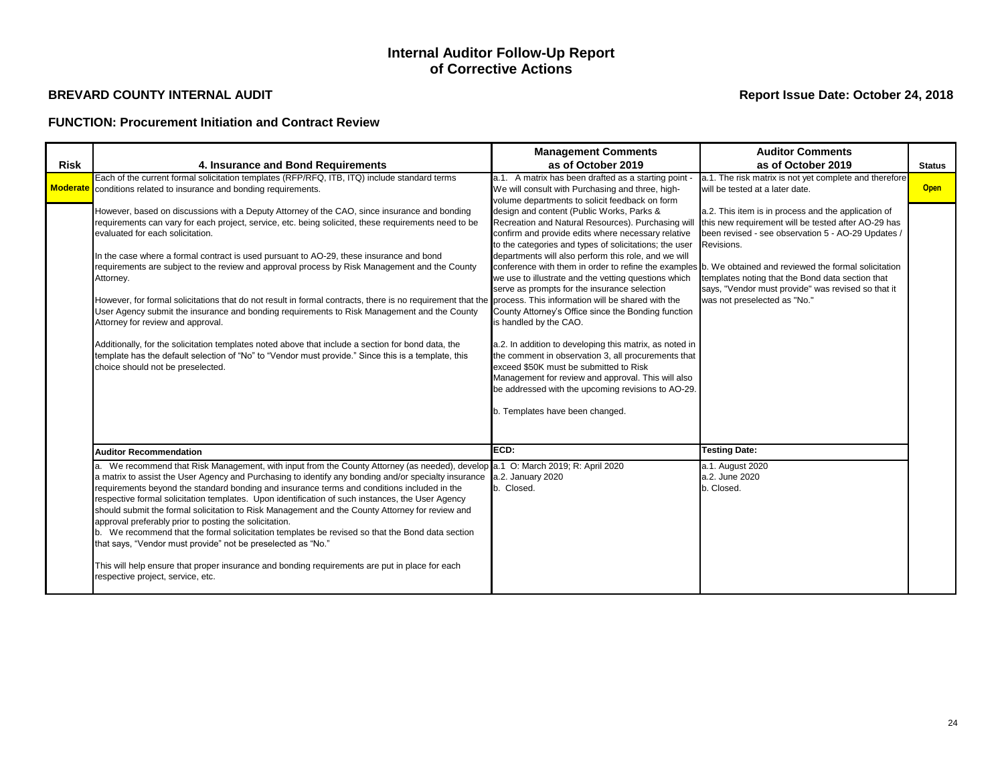## **FUNCTION: Procurement Initiation and Contract Review**

## **Internal Auditor Follow-Up Report of Corrective Actions**

|             |                                                                                                                                                                                                                                                                                                                                                                                                                                                                                                                                                                                                                                                                                                                                                                                                                                                                                                                                                       | <b>Management Comments</b>                                                                                                                                                                                                                                                                                                                                                                                                                                                                                                                                                                                                                                                                                                                                                                                                                                                                                | <b>Auditor Comments</b>                                                                                                                                                                                                                                                                                                  |               |
|-------------|-------------------------------------------------------------------------------------------------------------------------------------------------------------------------------------------------------------------------------------------------------------------------------------------------------------------------------------------------------------------------------------------------------------------------------------------------------------------------------------------------------------------------------------------------------------------------------------------------------------------------------------------------------------------------------------------------------------------------------------------------------------------------------------------------------------------------------------------------------------------------------------------------------------------------------------------------------|-----------------------------------------------------------------------------------------------------------------------------------------------------------------------------------------------------------------------------------------------------------------------------------------------------------------------------------------------------------------------------------------------------------------------------------------------------------------------------------------------------------------------------------------------------------------------------------------------------------------------------------------------------------------------------------------------------------------------------------------------------------------------------------------------------------------------------------------------------------------------------------------------------------|--------------------------------------------------------------------------------------------------------------------------------------------------------------------------------------------------------------------------------------------------------------------------------------------------------------------------|---------------|
| <b>Risk</b> | 4. Insurance and Bond Requirements                                                                                                                                                                                                                                                                                                                                                                                                                                                                                                                                                                                                                                                                                                                                                                                                                                                                                                                    | as of October 2019                                                                                                                                                                                                                                                                                                                                                                                                                                                                                                                                                                                                                                                                                                                                                                                                                                                                                        | as of October 2019                                                                                                                                                                                                                                                                                                       | <b>Status</b> |
| Moderate    | Each of the current formal solicitation templates (RFP/RFQ, ITB, ITQ) include standard terms<br>conditions related to insurance and bonding requirements.                                                                                                                                                                                                                                                                                                                                                                                                                                                                                                                                                                                                                                                                                                                                                                                             | a.1. A matrix has been drafted as a starting point -<br>We will consult with Purchasing and three, high-<br>volume departments to solicit feedback on form                                                                                                                                                                                                                                                                                                                                                                                                                                                                                                                                                                                                                                                                                                                                                | a.1. The risk matrix is not yet complete and therefore<br>will be tested at a later date.                                                                                                                                                                                                                                | <b>Open</b>   |
|             | However, based on discussions with a Deputy Attorney of the CAO, since insurance and bonding<br>requirements can vary for each project, service, etc. being solicited, these requirements need to be<br>evaluated for each solicitation.<br>In the case where a formal contract is used pursuant to AO-29, these insurance and bond<br>requirements are subject to the review and approval process by Risk Management and the County<br>Attorney.<br>However, for formal solicitations that do not result in formal contracts, there is no requirement that the<br>User Agency submit the insurance and bonding requirements to Risk Management and the County<br>Attorney for review and approval.<br>Additionally, for the solicitation templates noted above that include a section for bond data, the<br>template has the default selection of "No" to "Vendor must provide." Since this is a template, this<br>choice should not be preselected. | design and content (Public Works, Parks &<br>Recreation and Natural Resources). Purchasing will<br>confirm and provide edits where necessary relative<br>to the categories and types of solicitations; the user<br>departments will also perform this role, and we will<br>conference with them in order to refine the examples b. We obtained and reviewed the formal solicitation<br>we use to illustrate and the vetting questions which<br>serve as prompts for the insurance selection<br>process. This information will be shared with the<br>County Attorney's Office since the Bonding function<br>is handled by the CAO.<br>a.2. In addition to developing this matrix, as noted in<br>the comment in observation 3, all procurements that<br>exceed \$50K must be submitted to Risk<br>Management for review and approval. This will also<br>be addressed with the upcoming revisions to AO-29. | a.2. This item is in process and the application of<br>this new requirement will be tested after AO-29 has<br>been revised - see observation 5 - AO-29 Updates /<br>Revisions.<br>templates noting that the Bond data section that<br>says, "Vendor must provide" was revised so that it<br>was not preselected as "No." |               |
|             | <b>Auditor Recommendation</b><br>a. We recommend that Risk Management, with input from the County Attorney (as needed), develop a.1 O: March 2019; R: April 2020<br>a matrix to assist the User Agency and Purchasing to identify any bonding and/or specialty insurance<br>requirements beyond the standard bonding and insurance terms and conditions included in the<br>respective formal solicitation templates. Upon identification of such instances, the User Agency<br>should submit the formal solicitation to Risk Management and the County Attorney for review and<br>approval preferably prior to posting the solicitation.<br>b. We recommend that the formal solicitation templates be revised so that the Bond data section<br>that says, "Vendor must provide" not be preselected as "No."<br>This will help ensure that proper insurance and bonding requirements are put in place for each<br>respective project, service, etc.    | b. Templates have been changed.<br>ECD:<br>a.2. January 2020<br>b. Closed.                                                                                                                                                                                                                                                                                                                                                                                                                                                                                                                                                                                                                                                                                                                                                                                                                                | <b>Testing Date:</b><br>a.1. August 2020<br>a.2. June 2020<br>b. Closed.                                                                                                                                                                                                                                                 |               |